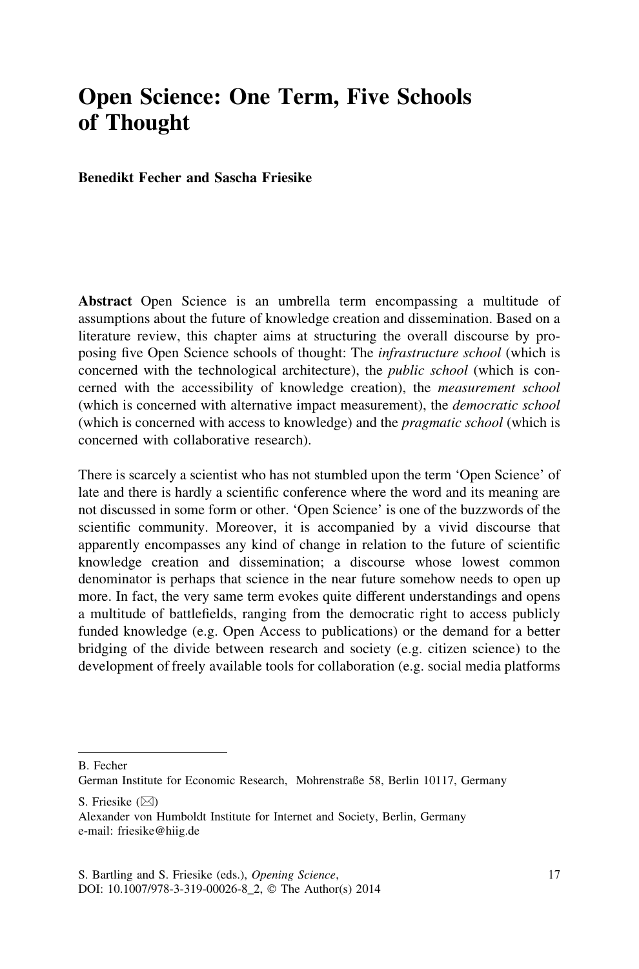# Open Science: One Term, Five Schools of Thought

Benedikt Fecher and Sascha Friesike

Abstract Open Science is an umbrella term encompassing a multitude of assumptions about the future of knowledge creation and dissemination. Based on a literature review, this chapter aims at structuring the overall discourse by proposing five Open Science schools of thought: The infrastructure school (which is concerned with the technological architecture), the public school (which is concerned with the accessibility of knowledge creation), the measurement school (which is concerned with alternative impact measurement), the democratic school (which is concerned with access to knowledge) and the pragmatic school (which is concerned with collaborative research).

There is scarcely a scientist who has not stumbled upon the term 'Open Science' of late and there is hardly a scientific conference where the word and its meaning are not discussed in some form or other. 'Open Science' is one of the buzzwords of the scientific community. Moreover, it is accompanied by a vivid discourse that apparently encompasses any kind of change in relation to the future of scientific knowledge creation and dissemination; a discourse whose lowest common denominator is perhaps that science in the near future somehow needs to open up more. In fact, the very same term evokes quite different understandings and opens a multitude of battlefields, ranging from the democratic right to access publicly funded knowledge (e.g. Open Access to publications) or the demand for a better bridging of the divide between research and society (e.g. citizen science) to the development of freely available tools for collaboration (e.g. social media platforms

B. Fecher

German Institute for Economic Research, Mohrenstraße 58, Berlin 10117, Germany

S. Friesike  $(\boxtimes)$ 

Alexander von Humboldt Institute for Internet and Society, Berlin, Germany e-mail: friesike@hiig.de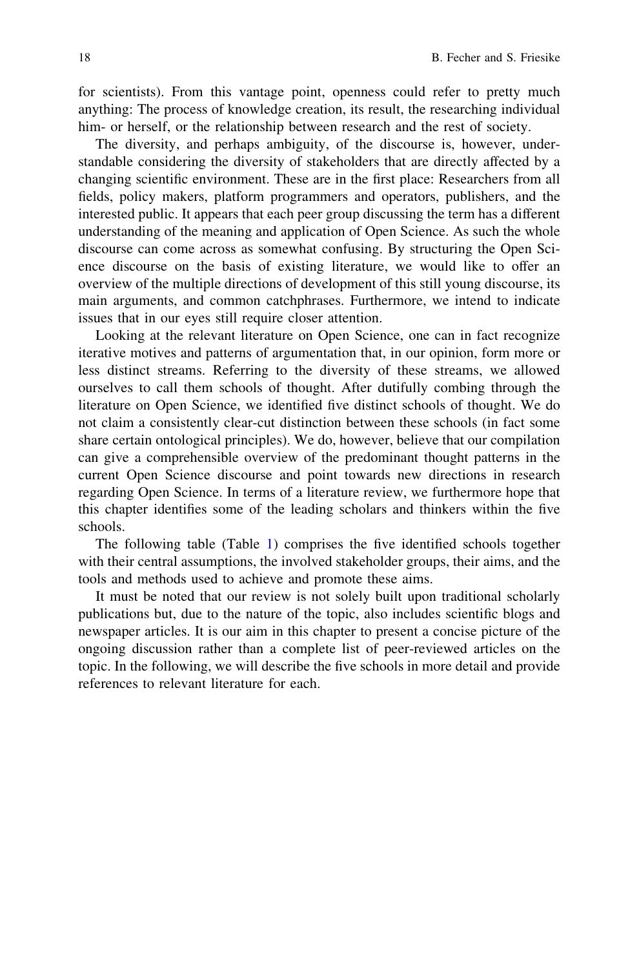for scientists). From this vantage point, openness could refer to pretty much anything: The process of knowledge creation, its result, the researching individual him- or herself, or the relationship between research and the rest of society.

The diversity, and perhaps ambiguity, of the discourse is, however, understandable considering the diversity of stakeholders that are directly affected by a changing scientific environment. These are in the first place: Researchers from all fields, policy makers, platform programmers and operators, publishers, and the interested public. It appears that each peer group discussing the term has a different understanding of the meaning and application of Open Science. As such the whole discourse can come across as somewhat confusing. By structuring the Open Science discourse on the basis of existing literature, we would like to offer an overview of the multiple directions of development of this still young discourse, its main arguments, and common catchphrases. Furthermore, we intend to indicate issues that in our eyes still require closer attention.

Looking at the relevant literature on Open Science, one can in fact recognize iterative motives and patterns of argumentation that, in our opinion, form more or less distinct streams. Referring to the diversity of these streams, we allowed ourselves to call them schools of thought. After dutifully combing through the literature on Open Science, we identified five distinct schools of thought. We do not claim a consistently clear-cut distinction between these schools (in fact some share certain ontological principles). We do, however, believe that our compilation can give a comprehensible overview of the predominant thought patterns in the current Open Science discourse and point towards new directions in research regarding Open Science. In terms of a literature review, we furthermore hope that this chapter identifies some of the leading scholars and thinkers within the five schools.

The following table (Table [1](#page-3-0)) comprises the five identified schools together with their central assumptions, the involved stakeholder groups, their aims, and the tools and methods used to achieve and promote these aims.

It must be noted that our review is not solely built upon traditional scholarly publications but, due to the nature of the topic, also includes scientific blogs and newspaper articles. It is our aim in this chapter to present a concise picture of the ongoing discussion rather than a complete list of peer-reviewed articles on the topic. In the following, we will describe the five schools in more detail and provide references to relevant literature for each.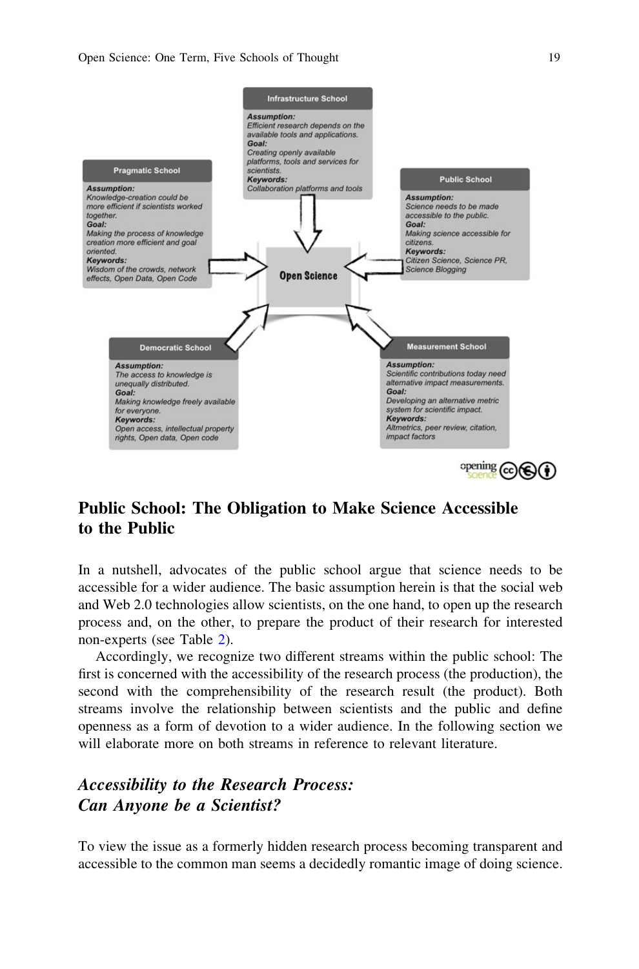

# Public School: The Obligation to Make Science Accessible to the Public

In a nutshell, advocates of the public school argue that science needs to be accessible for a wider audience. The basic assumption herein is that the social web and Web 2.0 technologies allow scientists, on the one hand, to open up the research process and, on the other, to prepare the product of their research for interested non-experts (see Table [2\)](#page-4-0).

Accordingly, we recognize two different streams within the public school: The first is concerned with the accessibility of the research process (the production), the second with the comprehensibility of the research result (the product). Both streams involve the relationship between scientists and the public and define openness as a form of devotion to a wider audience. In the following section we will elaborate more on both streams in reference to relevant literature.

# Accessibility to the Research Process: Can Anyone be a Scientist?

To view the issue as a formerly hidden research process becoming transparent and accessible to the common man seems a decidedly romantic image of doing science.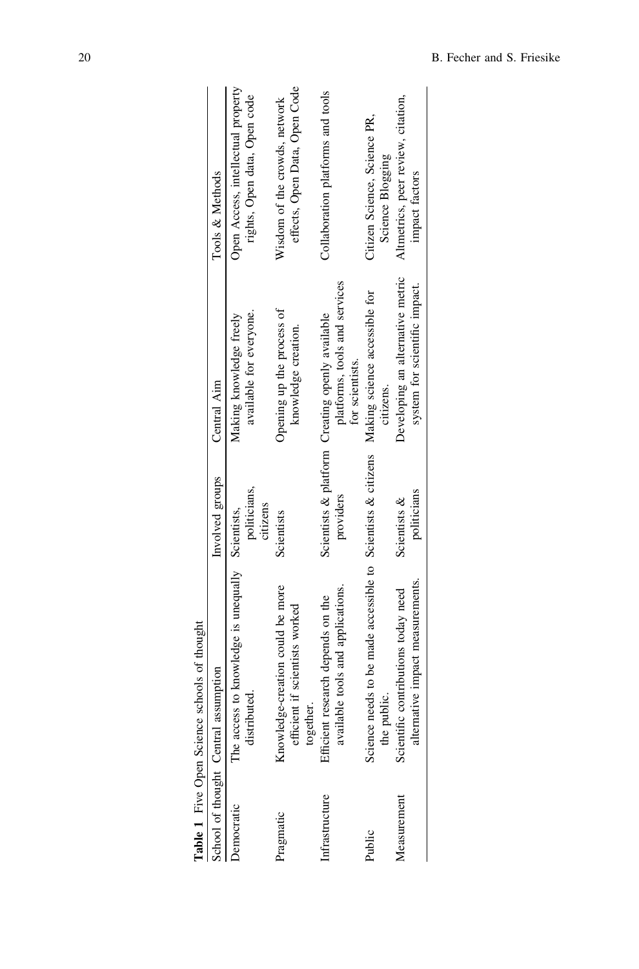<span id="page-3-0"></span>

|                | Table 1 Five Open Science schools of thought                                    |                             |                                                                                                     |                                                                    |
|----------------|---------------------------------------------------------------------------------|-----------------------------|-----------------------------------------------------------------------------------------------------|--------------------------------------------------------------------|
|                | School of thought Central assumption                                            | Involved groups             | Central Aim                                                                                         | Tools & Methods                                                    |
| Democratic     | The access to knowledge is unequally Scientists,<br>distributed.                | politicians,<br>citizens    | available for everyone.<br>Making knowledge freely                                                  | Open Access, intellectual property<br>rights, Open data, Open code |
| Pragmatic      | Knowledge-creation could be more<br>efficient if scientists worked<br>together. | Scientists                  | Opening up the process of<br>knowledge creation.                                                    | effects, Open Data, Open Code<br>Wisdom of the crowds, network     |
| Infrastructure | available tools and applications.<br>Efficient research depends on the          | providers                   | platforms, tools and services<br>Scientists & platform Creating openly available<br>for scientists. | Collaboration platforms and tools                                  |
| Public         | Science needs to be made accessible to Scientists & citizens<br>the public.     |                             | Making science accessible for<br>citizens.                                                          | Citizen Science, Science PR,<br>Science Blogging                   |
| Measurement    | ternative impact measurements.<br>Scientific contributions today need           | politicians<br>Scientists & | Developing an alternative metric<br>system for scientific impact.                                   | Altmetrics, peer review, citation,<br>impact factors               |
|                |                                                                                 |                             |                                                                                                     |                                                                    |

| i<br>j           |
|------------------|
| l<br>i<br>l<br>l |
| י<br>י<br>I      |
| í                |
|                  |
| Ï                |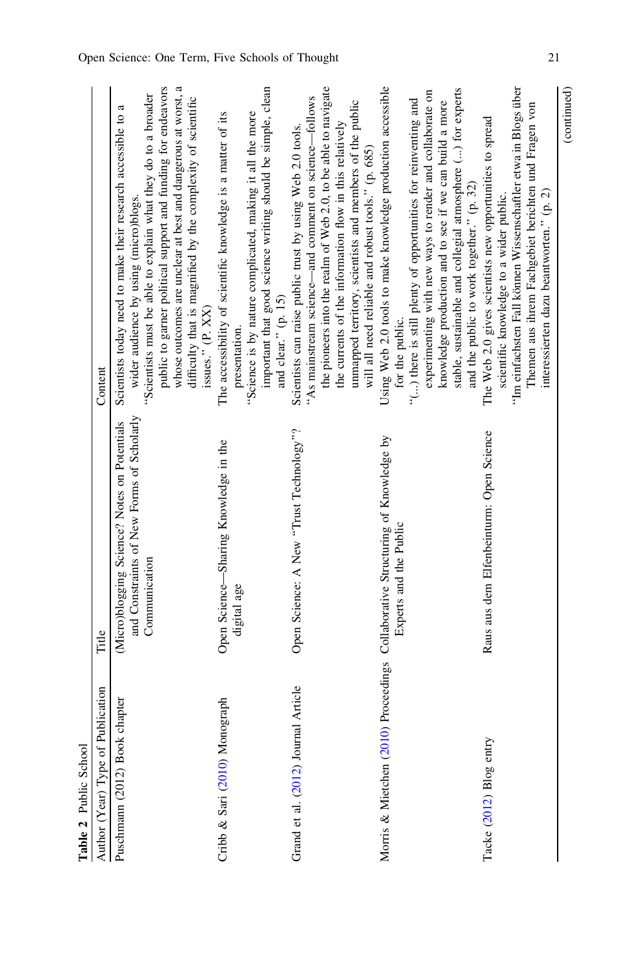<span id="page-4-0"></span>

| Table 2 Public School               |                                                                                                            |                                                                                                                                                                                                                                                                                                                                                                                              |
|-------------------------------------|------------------------------------------------------------------------------------------------------------|----------------------------------------------------------------------------------------------------------------------------------------------------------------------------------------------------------------------------------------------------------------------------------------------------------------------------------------------------------------------------------------------|
| Author (Year) Type of Publication   | Title                                                                                                      | Content                                                                                                                                                                                                                                                                                                                                                                                      |
| Puschmann (2012) Book chapter       | and Constraints of New Forms of Scholarly<br>(Micro)blogging Science? Notes on Potentials<br>Communication | whose outcomes are unclear at best and dangerous at worst, a<br>public to garner political support and funding for endeavors<br>"Scientists must be able to explain what they do to a broader<br>difficulty that is magnified by the complexity of scientific<br>Scientists today need to make their research accessible to a<br>wider audience by using (micro)blogs.<br>issues." $(P. XX)$ |
| Cribb & Sari (2010) Monograph       | Open Science-Sharing Knowledge in the<br>digital age                                                       | important that good science writing should be simple, clean<br>The accessibility of scientific knowledge is a matter of its<br>"Science is by nature complicated, making it all the more<br>and clear." (p. 15)<br>presentation.                                                                                                                                                             |
| Grand et al. (2012) Journal Article | Open Science: A New "Trust Technology"?                                                                    | the pioneers into the realm of Web 2.0, to be able to navigate<br>"As mainstream science—and comment on science—follows<br>unmapped territory, scientists and members of the public<br>the currents of the information flow in this relatively<br>Scientists can raise public trust by using Web 2.0 tools.<br>will all need reliable and robust tools." (p. 685)                            |
|                                     | Morris & Mietchen (2010) Proceedings Collaborative Structuring of Knowledge by<br>Experts and the Public   | Using Web 2.0 tools to make knowledge production accessible<br>stable, sustainable and collegial atmosphere () for experts<br>experimenting with new ways to render and collaborate on<br>"() there is still plenty of opportunities for reinventing and<br>knowledge production and to see if we can build a more<br>and the public to work together." $(p. 32)$<br>for the public.         |
| Tacke (2012) Blog entry             | Raus aus dem Elfenbeinturm: Open Science                                                                   | "Im einfachsten Fall können Wissenschaftler etwa in Blogs über<br>Themen aus ihrem Fachgebiet berichten und Fragen von<br>The Web 2.0 gives scientists new opportunities to spread<br>interessierten dazu beantworten." $(p, 2)$<br>scientific knowledge to a wider public.                                                                                                                  |
|                                     |                                                                                                            | (continued)                                                                                                                                                                                                                                                                                                                                                                                  |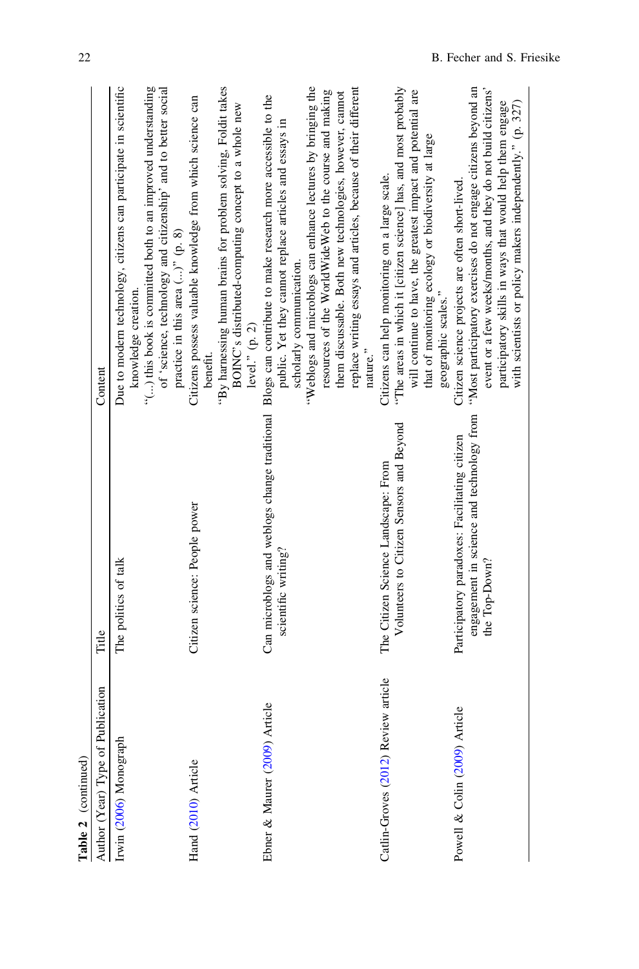| Table 2 (continued)                 |                                                                                                             |                                                                                                                                                                                                                                                                                                                                                                                                                                                                       |
|-------------------------------------|-------------------------------------------------------------------------------------------------------------|-----------------------------------------------------------------------------------------------------------------------------------------------------------------------------------------------------------------------------------------------------------------------------------------------------------------------------------------------------------------------------------------------------------------------------------------------------------------------|
| Author (Year) Type of Publication   | Title                                                                                                       | Content                                                                                                                                                                                                                                                                                                                                                                                                                                                               |
| Irwin (2006) Monograph              | The politics of talk                                                                                        | Due to modern technology, citizens can participate in scientific<br>"() this book is committed both to an improved understanding<br>of 'science, technology and citizenship' and to better social<br>practice in this area $(\ldots)$ " (p. 8)<br>knowledge creation.                                                                                                                                                                                                 |
| Hand (2010) Article                 | Citizen science: People power                                                                               | "By harnessing human brains for problem solving, Foldit takes<br>Citizens possess valuable knowledge from which science can<br>BOINC's distributed-computing concept to a whole new<br>level." $(p, 2)$<br>benefit.                                                                                                                                                                                                                                                   |
| Article<br>Ebner & Maurer (2009)    | scientific writing?                                                                                         | "Weblogs and microblogs can enhance lectures by bringing the<br>replace writing essays and articles, because of their different<br>resources of the WorldWideWeb to the course and making<br>them discussable. Both new technologies, however, cannot<br>Can microblogs and weblogs change traditional Blogs can contribute to make research more accessible to the<br>public. Yet they cannot replace articles and essays in<br>scholarly communication.<br>nature." |
| Catlin-Groves (2012) Review article | Volunteers to Citizen Sensors and Beyond<br>The Citizen Science Landscape: From                             | "The areas in which it [citizen science] has, and most probably<br>will continue to have, the greatest impact and potential are<br>that of monitoring ecology or biodiversity at large<br>Citizens can help monitoring on a large scale.<br>geographic scales."                                                                                                                                                                                                       |
| Powell & Colin (2009) Article       | engagement in science and technology from<br>Participatory paradoxes: Facilitating citizen<br>the Top-Down? | "Most participatory exercises do not engage citizens beyond an<br>event or a few weeks/months, and they do not build citizens'<br>with scientists or policy makers independently." (p. 327)<br>participatory skills in ways that would help them engage<br>Citizen science projects are often short-lived.                                                                                                                                                            |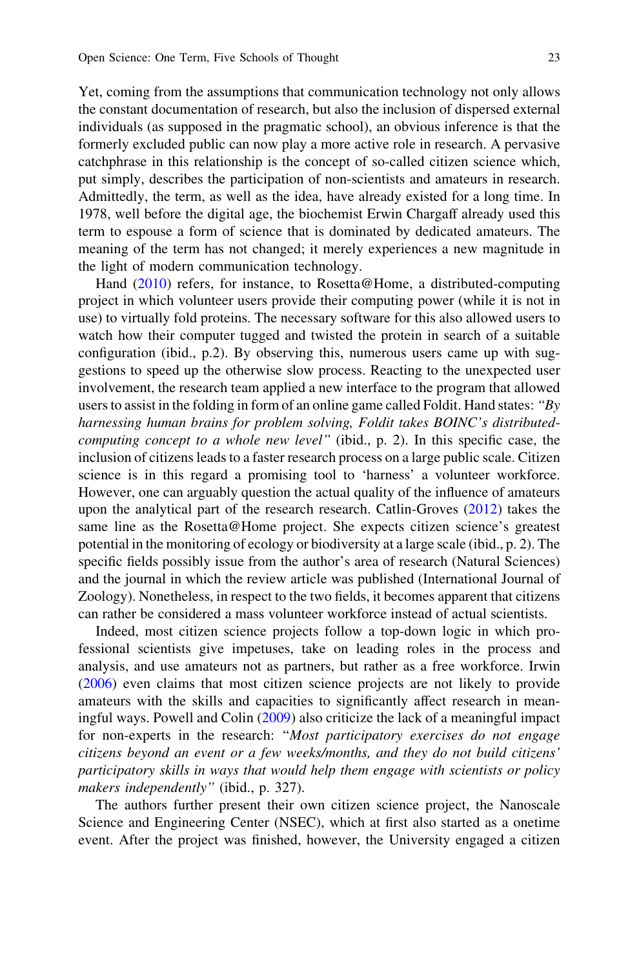Yet, coming from the assumptions that communication technology not only allows the constant documentation of research, but also the inclusion of dispersed external individuals (as supposed in the pragmatic school), an obvious inference is that the formerly excluded public can now play a more active role in research. A pervasive catchphrase in this relationship is the concept of so-called citizen science which, put simply, describes the participation of non-scientists and amateurs in research. Admittedly, the term, as well as the idea, have already existed for a long time. In 1978, well before the digital age, the biochemist Erwin Chargaff already used this term to espouse a form of science that is dominated by dedicated amateurs. The meaning of the term has not changed; it merely experiences a new magnitude in the light of modern communication technology.

Hand ([2010\)](#page-28-0) refers, for instance, to Rosetta@Home, a distributed-computing project in which volunteer users provide their computing power (while it is not in use) to virtually fold proteins. The necessary software for this also allowed users to watch how their computer tugged and twisted the protein in search of a suitable configuration (ibid., p.2). By observing this, numerous users came up with suggestions to speed up the otherwise slow process. Reacting to the unexpected user involvement, the research team applied a new interface to the program that allowed users to assist in the folding in form of an online game called Foldit. Hand states: " $By$ harnessing human brains for problem solving, Foldit takes BOINC's distributedcomputing concept to a whole new level'' (ibid., p. 2). In this specific case, the inclusion of citizens leads to a faster research process on a large public scale. Citizen science is in this regard a promising tool to 'harness' a volunteer workforce. However, one can arguably question the actual quality of the influence of amateurs upon the analytical part of the research research. Catlin-Groves [\(2012](#page-28-0)) takes the same line as the Rosetta@Home project. She expects citizen science's greatest potential in the monitoring of ecology or biodiversity at a large scale (ibid., p. 2). The specific fields possibly issue from the author's area of research (Natural Sciences) and the journal in which the review article was published (International Journal of Zoology). Nonetheless, in respect to the two fields, it becomes apparent that citizens can rather be considered a mass volunteer workforce instead of actual scientists.

Indeed, most citizen science projects follow a top-down logic in which professional scientists give impetuses, take on leading roles in the process and analysis, and use amateurs not as partners, but rather as a free workforce. Irwin [\(2006](#page-29-0)) even claims that most citizen science projects are not likely to provide amateurs with the skills and capacities to significantly affect research in meaningful ways. Powell and Colin [\(2009](#page-29-0)) also criticize the lack of a meaningful impact for non-experts in the research: ''Most participatory exercises do not engage citizens beyond an event or a few weeks/months, and they do not build citizens' participatory skills in ways that would help them engage with scientists or policy makers independently" (ibid., p. 327).

The authors further present their own citizen science project, the Nanoscale Science and Engineering Center (NSEC), which at first also started as a onetime event. After the project was finished, however, the University engaged a citizen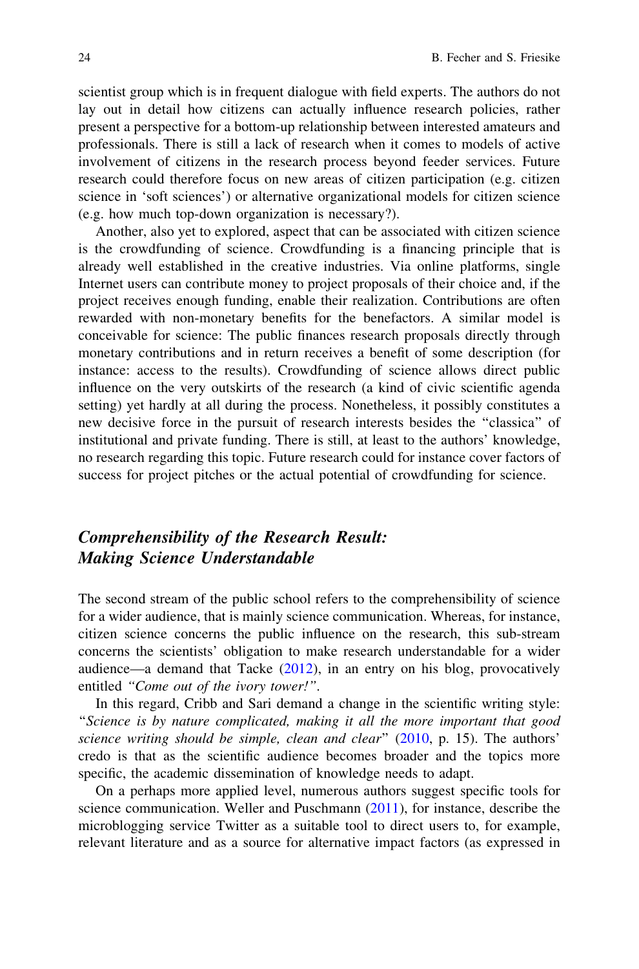scientist group which is in frequent dialogue with field experts. The authors do not lay out in detail how citizens can actually influence research policies, rather present a perspective for a bottom-up relationship between interested amateurs and professionals. There is still a lack of research when it comes to models of active involvement of citizens in the research process beyond feeder services. Future research could therefore focus on new areas of citizen participation (e.g. citizen science in 'soft sciences') or alternative organizational models for citizen science (e.g. how much top-down organization is necessary?).

Another, also yet to explored, aspect that can be associated with citizen science is the crowdfunding of science. Crowdfunding is a financing principle that is already well established in the creative industries. Via online platforms, single Internet users can contribute money to project proposals of their choice and, if the project receives enough funding, enable their realization. Contributions are often rewarded with non-monetary benefits for the benefactors. A similar model is conceivable for science: The public finances research proposals directly through monetary contributions and in return receives a benefit of some description (for instance: access to the results). Crowdfunding of science allows direct public influence on the very outskirts of the research (a kind of civic scientific agenda setting) yet hardly at all during the process. Nonetheless, it possibly constitutes a new decisive force in the pursuit of research interests besides the ''classica'' of institutional and private funding. There is still, at least to the authors' knowledge, no research regarding this topic. Future research could for instance cover factors of success for project pitches or the actual potential of crowdfunding for science.

## Comprehensibility of the Research Result: Making Science Understandable

The second stream of the public school refers to the comprehensibility of science for a wider audience, that is mainly science communication. Whereas, for instance, citizen science concerns the public influence on the research, this sub-stream concerns the scientists' obligation to make research understandable for a wider audience—a demand that Tacke  $(2012)$  $(2012)$ , in an entry on his blog, provocatively entitled "Come out of the ivory tower!".

In this regard, Cribb and Sari demand a change in the scientific writing style: ''Science is by nature complicated, making it all the more important that good science writing should be simple, clean and clear"  $(2010, p. 15)$  $(2010, p. 15)$ . The authors' credo is that as the scientific audience becomes broader and the topics more specific, the academic dissemination of knowledge needs to adapt.

On a perhaps more applied level, numerous authors suggest specific tools for science communication. Weller and Puschmann ([2011\)](#page-30-0), for instance, describe the microblogging service Twitter as a suitable tool to direct users to, for example, relevant literature and as a source for alternative impact factors (as expressed in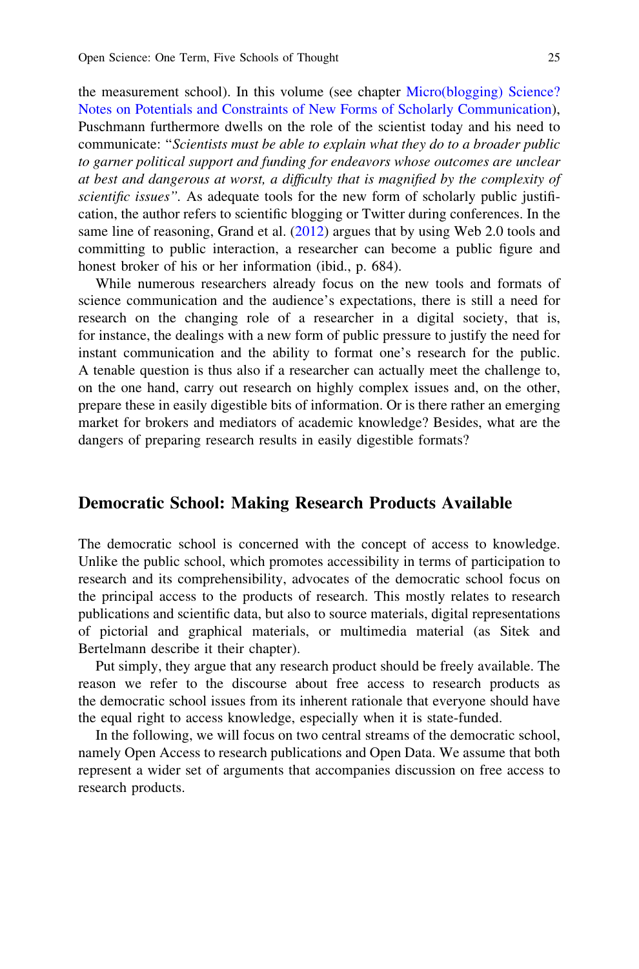the measurement school). In this volume (see chapter [Micro\(blogging\) Science?](http://dx.doi.org/10.1007/978-3-319-00026-8_6) [Notes on Potentials and Constraints of New Forms of Scholarly Communication\)](http://dx.doi.org/10.1007/978-3-319-00026-8_6), Puschmann furthermore dwells on the role of the scientist today and his need to communicate: ''Scientists must be able to explain what they do to a broader public to garner political support and funding for endeavors whose outcomes are unclear at best and dangerous at worst, a difficulty that is magnified by the complexity of scientific issues". As adequate tools for the new form of scholarly public justification, the author refers to scientific blogging or Twitter during conferences. In the same line of reasoning, Grand et al. [\(2012\)](#page-28-0) argues that by using Web 2.0 tools and committing to public interaction, a researcher can become a public figure and honest broker of his or her information (ibid., p. 684).

While numerous researchers already focus on the new tools and formats of science communication and the audience's expectations, there is still a need for research on the changing role of a researcher in a digital society, that is, for instance, the dealings with a new form of public pressure to justify the need for instant communication and the ability to format one's research for the public. A tenable question is thus also if a researcher can actually meet the challenge to, on the one hand, carry out research on highly complex issues and, on the other, prepare these in easily digestible bits of information. Or is there rather an emerging market for brokers and mediators of academic knowledge? Besides, what are the dangers of preparing research results in easily digestible formats?

#### Democratic School: Making Research Products Available

The democratic school is concerned with the concept of access to knowledge. Unlike the public school, which promotes accessibility in terms of participation to research and its comprehensibility, advocates of the democratic school focus on the principal access to the products of research. This mostly relates to research publications and scientific data, but also to source materials, digital representations of pictorial and graphical materials, or multimedia material (as Sitek and Bertelmann describe it their chapter).

Put simply, they argue that any research product should be freely available. The reason we refer to the discourse about free access to research products as the democratic school issues from its inherent rationale that everyone should have the equal right to access knowledge, especially when it is state-funded.

In the following, we will focus on two central streams of the democratic school, namely Open Access to research publications and Open Data. We assume that both represent a wider set of arguments that accompanies discussion on free access to research products.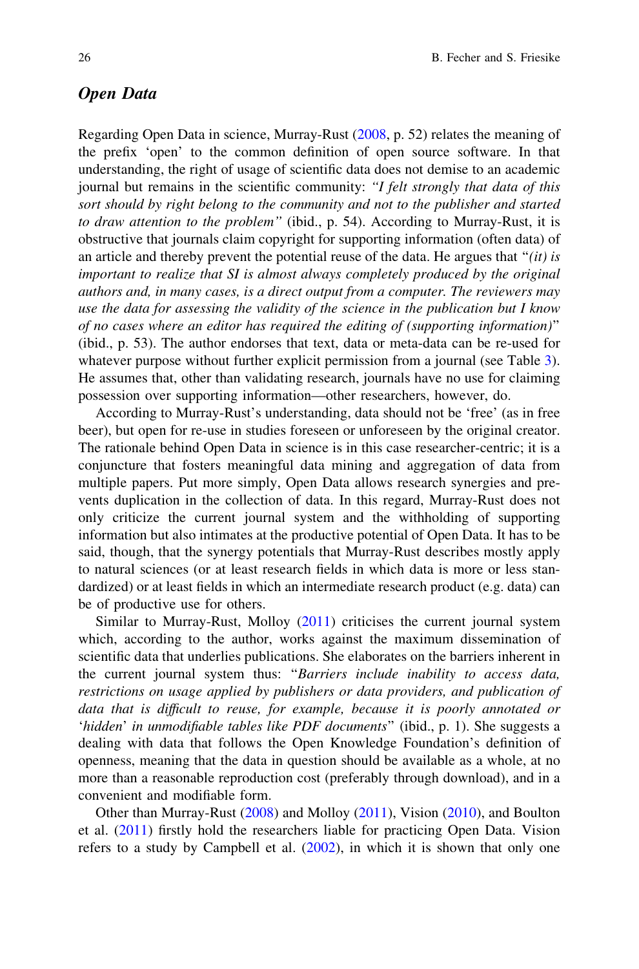### Open Data

Regarding Open Data in science, Murray-Rust ([2008,](#page-29-0) p. 52) relates the meaning of the prefix 'open' to the common definition of open source software. In that understanding, the right of usage of scientific data does not demise to an academic journal but remains in the scientific community: "I felt strongly that data of this sort should by right belong to the community and not to the publisher and started to draw attention to the problem'' (ibid., p. 54). According to Murray-Rust, it is obstructive that journals claim copyright for supporting information (often data) of an article and thereby prevent the potential reuse of the data. He argues that " $(it)$  is important to realize that SI is almost always completely produced by the original authors and, in many cases, is a direct output from a computer. The reviewers may use the data for assessing the validity of the science in the publication but I know of no cases where an editor has required the editing of (supporting information)'' (ibid., p. 53). The author endorses that text, data or meta-data can be re-used for whatever purpose without further explicit permission from a journal (see Table [3\)](#page-10-0). He assumes that, other than validating research, journals have no use for claiming possession over supporting information—other researchers, however, do.

According to Murray-Rust's understanding, data should not be 'free' (as in free beer), but open for re-use in studies foreseen or unforeseen by the original creator. The rationale behind Open Data in science is in this case researcher-centric; it is a conjuncture that fosters meaningful data mining and aggregation of data from multiple papers. Put more simply, Open Data allows research synergies and prevents duplication in the collection of data. In this regard, Murray-Rust does not only criticize the current journal system and the withholding of supporting information but also intimates at the productive potential of Open Data. It has to be said, though, that the synergy potentials that Murray-Rust describes mostly apply to natural sciences (or at least research fields in which data is more or less standardized) or at least fields in which an intermediate research product (e.g. data) can be of productive use for others.

Similar to Murray-Rust, Molloy ([2011\)](#page-29-0) criticises the current journal system which, according to the author, works against the maximum dissemination of scientific data that underlies publications. She elaborates on the barriers inherent in the current journal system thus: ''Barriers include inability to access data, restrictions on usage applied by publishers or data providers, and publication of data that is difficult to reuse, for example, because it is poorly annotated or 'hidden' in unmodifiable tables like PDF documents'' (ibid., p. 1). She suggests a dealing with data that follows the Open Knowledge Foundation's definition of openness, meaning that the data in question should be available as a whole, at no more than a reasonable reproduction cost (preferably through download), and in a convenient and modifiable form.

Other than Murray-Rust ([2008\)](#page-29-0) and Molloy ([2011\)](#page-29-0), Vision ([2010\)](#page-29-0), and Boulton et al. ([2011\)](#page-28-0) firstly hold the researchers liable for practicing Open Data. Vision refers to a study by Campbell et al. ([2002\)](#page-28-0), in which it is shown that only one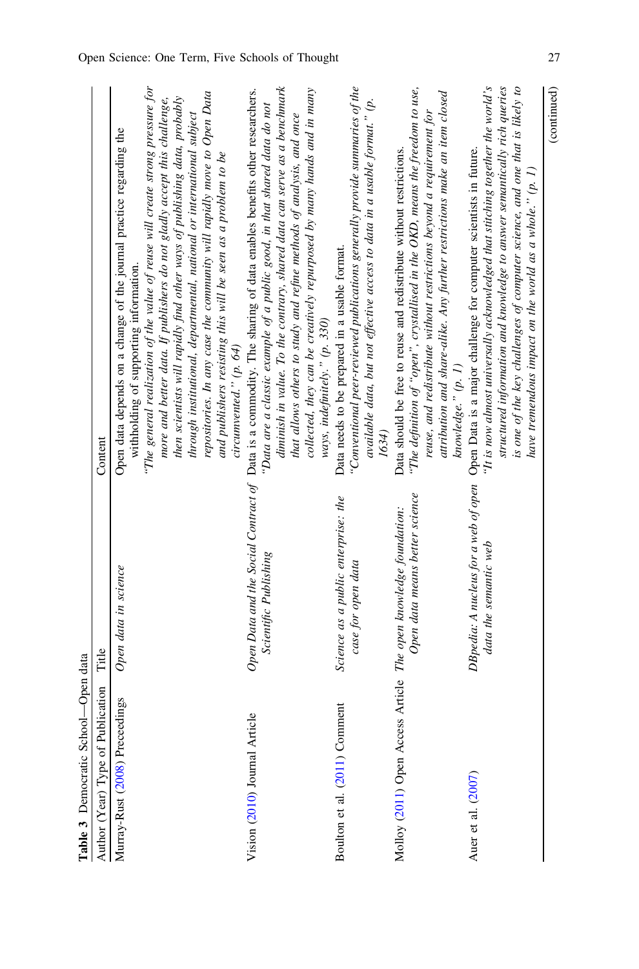<span id="page-10-0"></span>

| Table 3 Democratic School-Open data                              |                                                           |                                                                                                                                                                                                                                                                                                                                                                                                                                                                                                                                                                                                          |
|------------------------------------------------------------------|-----------------------------------------------------------|----------------------------------------------------------------------------------------------------------------------------------------------------------------------------------------------------------------------------------------------------------------------------------------------------------------------------------------------------------------------------------------------------------------------------------------------------------------------------------------------------------------------------------------------------------------------------------------------------------|
| Author (Year) Type of Publication                                | Title                                                     | Content                                                                                                                                                                                                                                                                                                                                                                                                                                                                                                                                                                                                  |
| Murray-Rust (2008) Preceedings                                   | Open data in science                                      | "The general realization of the value of reuse will create strong pressure for<br>repositories. In any case the community will rapidly move to Open Data<br>then scientists will rapidly find other ways of publishing data, probably<br>more and better data. If publishers do not gladly accept this challenge,<br>through institutional, departmental, national or international subject<br>Open data depends on a change of the journal practice regarding the<br>and publishers resisting this will be seen as a problem to be<br>withholding of supporting information.<br>$circumvented$ $p.64$ ) |
| Vision (2010) Journal Article                                    | Scientific Publishing                                     | diminish in value. To the contrary, shared data can serve as a benchmark<br>collected, they can be creatively repurposed by many hands and in many<br>Open Data and the Social Contract of Data is a commodity. The sharing of data enables benefits other researchers.<br>"Data are a classic example of a public good, in that shared data do not<br>that allows others to study and refine methods of analysis, and once<br>ways, indefinitely." (p. 330)                                                                                                                                             |
| Boulton et al. (2011) Comment                                    | Science as a public enterprise: the<br>case for open data | "Conventional peer-reviewed publications generally provide summaries of the<br>available data, but not effective access to data in a usable format." (p.<br>Data needs to be prepared in a usable format.<br>1634)                                                                                                                                                                                                                                                                                                                                                                                       |
| Molloy (2011) Open Access Article The open knowledge foundation: | Open data means better science                            | "The definition of "open", crystallised in the OKD, means the freedom to use,<br>attribution and share-alike. Any further restrictions make an item closed<br>reuse, and redistribute without restrictions beyond a requirement for<br>Data should be free to reuse and redistribute without restrictions.<br>knowledge, p, 1)                                                                                                                                                                                                                                                                           |
| Auer et al. (2007)                                               | data the semantic web                                     | "It is now almost universally acknowledged that stitching together the world's<br>structured information and knowledge to answer semantically rich queries<br>is one of the key challenges of computer science, and one that is likely to<br>DBpedia: A nucleus for a web of open Open Data is a major challenge for computer scientists in future.<br>have tremendous impact on the world as a whole." $(p, 1)$                                                                                                                                                                                         |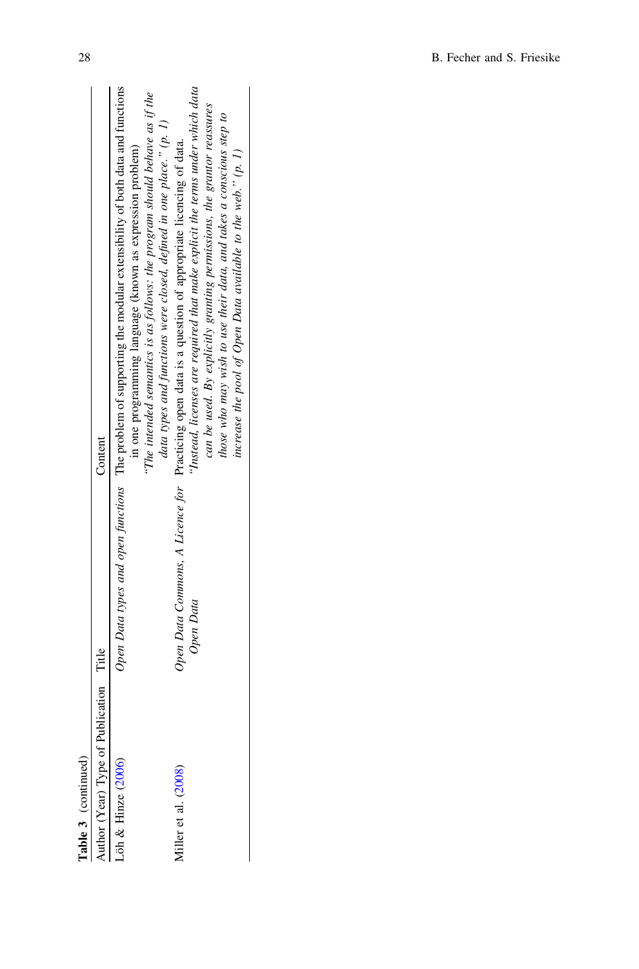| Table 3 (continued)                          |           |                                                                                                                                                                                                                                                                |
|----------------------------------------------|-----------|----------------------------------------------------------------------------------------------------------------------------------------------------------------------------------------------------------------------------------------------------------------|
| Publication Title<br>uthor (Year) Type of P. |           | Content                                                                                                                                                                                                                                                        |
| Löh & Hinze (2006)                           |           | Open Data types and open functions The problem of supporting the modular extensibility of both data and functions<br>"The intended semantics is as follows: the program should behave as if the<br>in one programming language (known as expression problem)   |
| Miller et al. (2008)                         | Open Data | Instead, licenses are required that make explicit the terms under which data<br>data types and functions were closed, defined in one place." $(p, 1)$<br>Open Data Commons, A Licence for Practicing open data is a question of appropriate licencing of data. |
|                                              |           | can be used. By explicitly granting permissions, the grantor reassures<br>those who may wish to use their data, and takes a conscious step to<br>increase the pool of Open Data available to the web." $(p, 1)$                                                |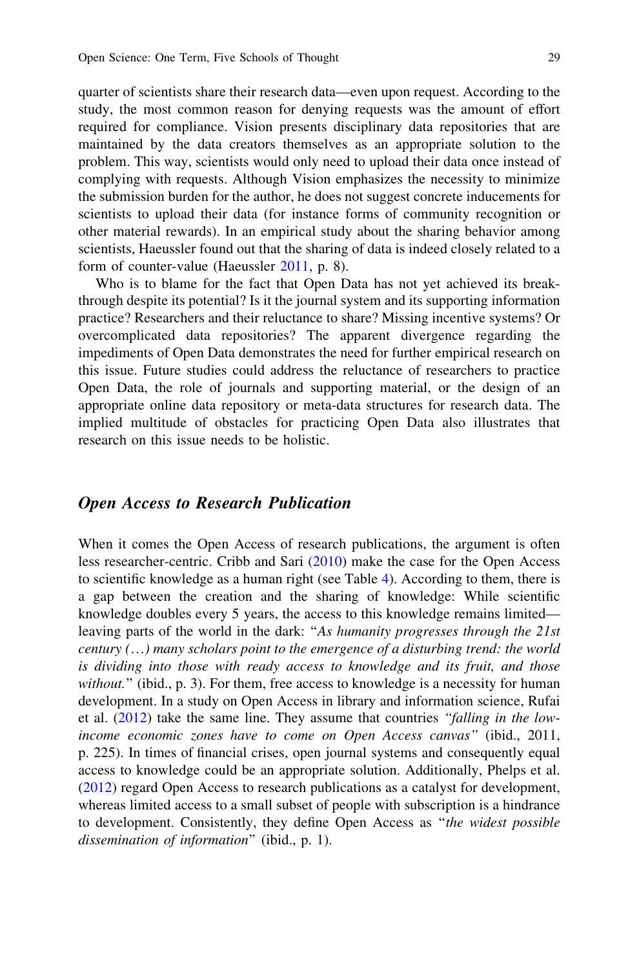quarter of scientists share their research data—even upon request. According to the study, the most common reason for denying requests was the amount of effort required for compliance. Vision presents disciplinary data repositories that are maintained by the data creators themselves as an appropriate solution to the problem. This way, scientists would only need to upload their data once instead of complying with requests. Although Vision emphasizes the necessity to minimize the submission burden for the author, he does not suggest concrete inducements for scientists to upload their data (for instance forms of community recognition or other material rewards). In an empirical study about the sharing behavior among scientists, Haeussler found out that the sharing of data is indeed closely related to a form of counter-value (Haeussler [2011,](#page-28-0) p. 8).

Who is to blame for the fact that Open Data has not yet achieved its breakthrough despite its potential? Is it the journal system and its supporting information practice? Researchers and their reluctance to share? Missing incentive systems? Or overcomplicated data repositories? The apparent divergence regarding the impediments of Open Data demonstrates the need for further empirical research on this issue. Future studies could address the reluctance of researchers to practice Open Data, the role of journals and supporting material, or the design of an appropriate online data repository or meta-data structures for research data. The implied multitude of obstacles for practicing Open Data also illustrates that research on this issue needs to be holistic.

#### Open Access to Research Publication

When it comes the Open Access of research publications, the argument is often less researcher-centric. Cribb and Sari [\(2010](#page-28-0)) make the case for the Open Access to scientific knowledge as a human right (see Table [4\)](#page-13-0). According to them, there is a gap between the creation and the sharing of knowledge: While scientific knowledge doubles every 5 years, the access to this knowledge remains limited leaving parts of the world in the dark: ''As humanity progresses through the 21st century  $(...)$  many scholars point to the emergence of a disturbing trend: the world is dividing into those with ready access to knowledge and its fruit, and those without." (ibid., p. 3). For them, free access to knowledge is a necessity for human development. In a study on Open Access in library and information science, Rufai et al.  $(2012)$  $(2012)$  take the same line. They assume that countries "falling in the lowincome economic zones have to come on Open Access canvas'' (ibid., 2011, p. 225). In times of financial crises, open journal systems and consequently equal access to knowledge could be an appropriate solution. Additionally, Phelps et al. [\(2012](#page-29-0)) regard Open Access to research publications as a catalyst for development, whereas limited access to a small subset of people with subscription is a hindrance to development. Consistently, they define Open Access as ''the widest possible dissemination of information'' (ibid., p. 1).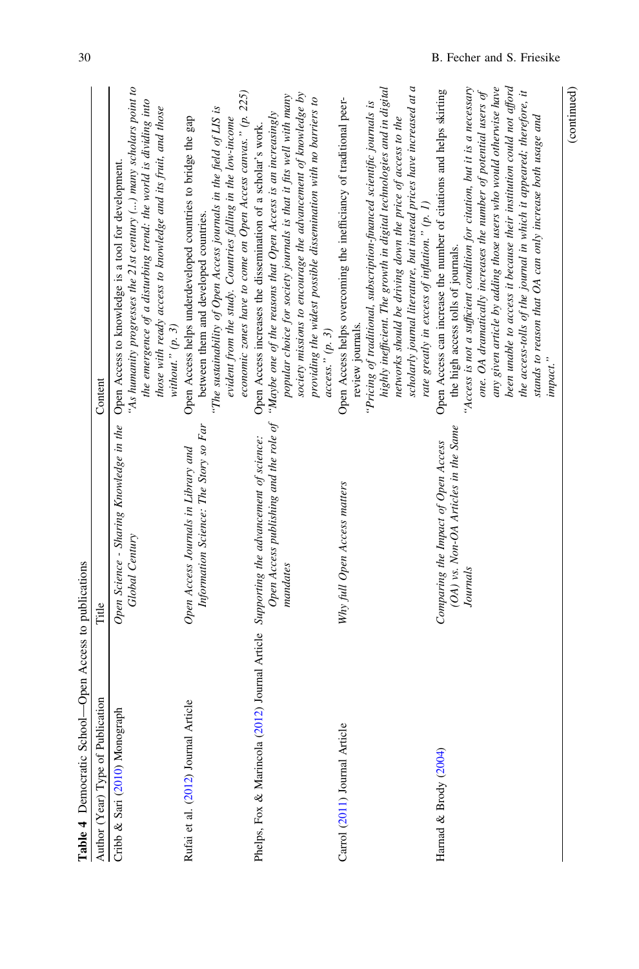<span id="page-13-0"></span>

|             | ×  |              |
|-------------|----|--------------|
|             |    |              |
| I<br>ł<br>v | M. | I<br>I<br>۰, |
|             |    |              |

| Table 4 Democratic School-Open Access to publications                                 |                                                                                         |                                                                                                                                                                                                                                                                                                                                                                                                                                                                                                                                                       |
|---------------------------------------------------------------------------------------|-----------------------------------------------------------------------------------------|-------------------------------------------------------------------------------------------------------------------------------------------------------------------------------------------------------------------------------------------------------------------------------------------------------------------------------------------------------------------------------------------------------------------------------------------------------------------------------------------------------------------------------------------------------|
| Author (Year) Type of Publication                                                     | Title                                                                                   | Content                                                                                                                                                                                                                                                                                                                                                                                                                                                                                                                                               |
| Cribb & Sari (2010) Monograph                                                         | Open Science - Sharing Knowledge in the<br>Global Century                               | "As humanity progresses the 21st century () many scholars point to<br>the emergence of a disturbing trend: the world is dividing into<br>those with ready access to knowledge and its fruit, and those<br>Open Access to knowledge is a tool for development.<br>without." $(p, 3)$                                                                                                                                                                                                                                                                   |
| Rufai et al. (2012) Journal Article                                                   | Information Science: The Story so Far<br>Open Access Journals in Library and            | economic zones have to come on Open Access canvas." (p. 225)<br>"The sustainability of Open Access journals in the field of LIS is<br>evident from the study. Countries falling in the low-income<br>Open Access helps underdeveloped countries to bridge the gap<br>between them and developed countries.                                                                                                                                                                                                                                            |
| Phelps, Fox & Marincola (2012) Journal Article Supporting the advancement of science: | Open Access publishing and the role of<br>mandates                                      | society missions to encourage the advancement of knowledge by<br>popular choice for society journals is that it fits well with many<br>providing the widest possible dissemination with no barriers to<br>"Maybe one of the reasons that Open Access is an increasingly<br>Open Access increases the dissemination of a scholar's work.<br>$access.$ " $(p. 3)$                                                                                                                                                                                       |
| Carrol (2011) Journal Article                                                         | Why full Open Access matters                                                            | highly inefficient. The growth in digital technologies and in digital<br>scholarly journal literature, but instead prices have increased at a<br>Open Access helps overcoming the inefficiancy of traditional peer-<br>"Pricing of traditional, subscription-financed scientific journals is<br>networks should be driving down the price of access to the<br>rate greatly in excess of inflation." $(p, 1)$<br>review journals.                                                                                                                      |
| Harnad & Brody (2004)                                                                 | (OA) vs. Non-OA Articles in the Same<br>Comparing the Impact of Open Access<br>Journals | "Access is not a sufficient condition for citation, but it is a necessary<br>any given article by adding those users who would otherwise have<br>been unable to access it because their institution could not afford<br>Open Access can increase the number of citations and helps skirting<br>the access-tolls of the journal in which it appeared; therefore, it<br>one. OA dramatically increases the number of potential users of<br>stands to reason that OA can only increase both usage and<br>the high access tolls of journals.<br>impact.'' |

(continued) (continued)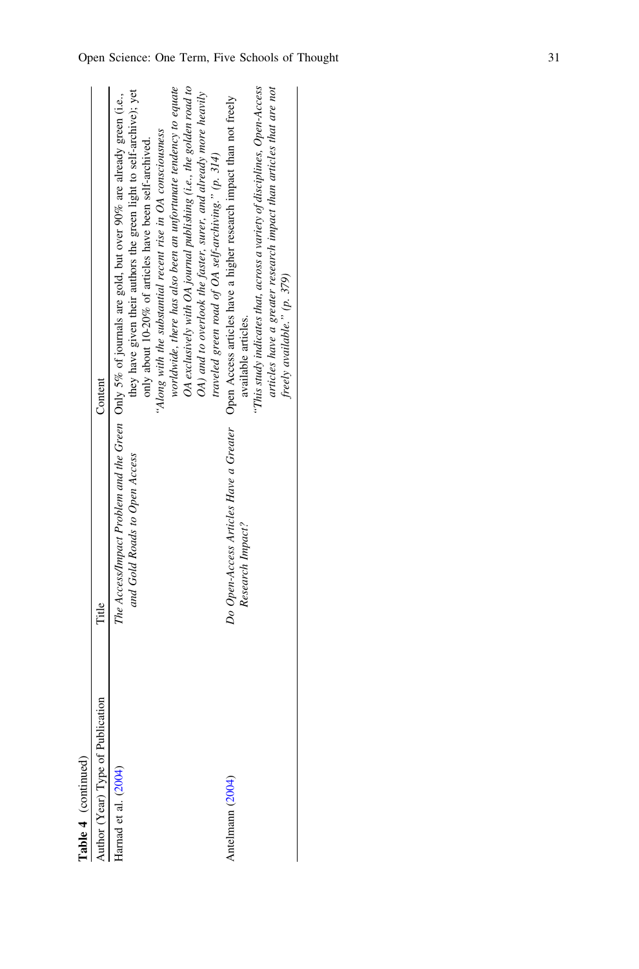| Table 4 (continued)               |                                                            |                                                                                                                                                                                                                                                                                                               |
|-----------------------------------|------------------------------------------------------------|---------------------------------------------------------------------------------------------------------------------------------------------------------------------------------------------------------------------------------------------------------------------------------------------------------------|
| Author (Year) Type of Publication | Title                                                      | Content                                                                                                                                                                                                                                                                                                       |
| Harnad et al. (2004)              | and Gold Roads to Open Access                              | they have given their authors the green light to self-archive); yet<br>The Access/Impact Problem and the Green Only 5% of journals are gold, but over 90% are already green (i.e.,<br>"Along with the substantial recent rise in $OA$ consciousness<br>only about 10-20% of articles have been self-archived. |
|                                   |                                                            | OA exclusively with OA journal publishing (i.e., the golden road to<br>worldwide, there has also been an unfortunate tendency to equate<br>OA) and to overlook the faster, surer, and already more heavily<br>traveled green road of OA self-archiving." (p. 314)                                             |
| Antelmann (2004)                  | Do Open-Access Articles Have a Greater<br>Research Impact? | "This study indicates that, across a variety of disciplines, Open-Access<br>articles have a greater research impact than articles that are not<br>Open Access articles have a higher research impact than not freely<br>freely available." (p. 379)<br>available articles.                                    |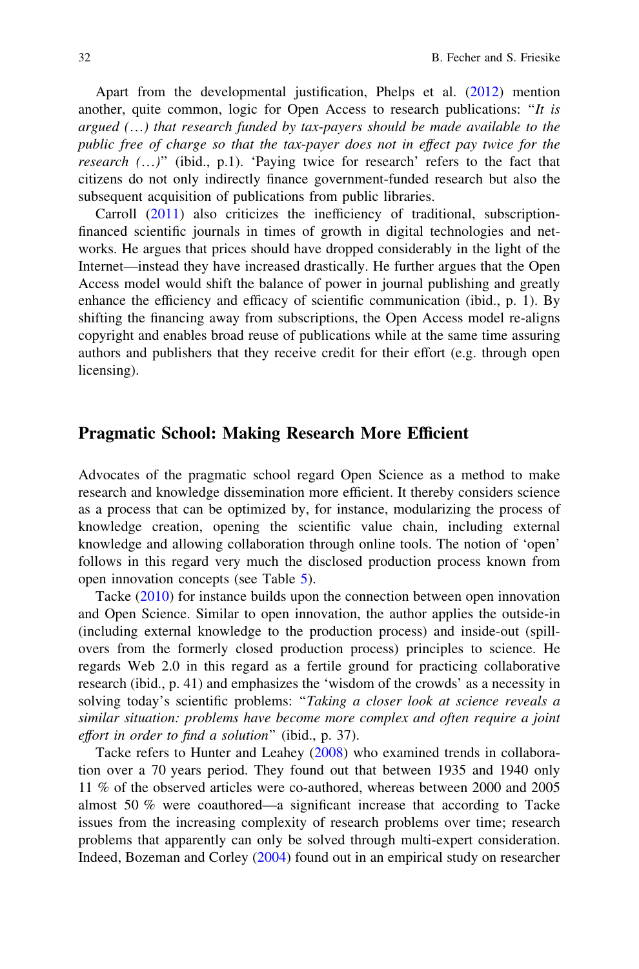Apart from the developmental justification, Phelps et al. [\(2012](#page-29-0)) mention another, quite common, logic for Open Access to research publications: "It is argued (…) that research funded by tax-payers should be made available to the public free of charge so that the tax-payer does not in effect pay twice for the research (…)'' (ibid., p.1). 'Paying twice for research' refers to the fact that citizens do not only indirectly finance government-funded research but also the subsequent acquisition of publications from public libraries.

Carroll ([2011\)](#page-28-0) also criticizes the inefficiency of traditional, subscriptionfinanced scientific journals in times of growth in digital technologies and networks. He argues that prices should have dropped considerably in the light of the Internet—instead they have increased drastically. He further argues that the Open Access model would shift the balance of power in journal publishing and greatly enhance the efficiency and efficacy of scientific communication (ibid., p. 1). By shifting the financing away from subscriptions, the Open Access model re-aligns copyright and enables broad reuse of publications while at the same time assuring authors and publishers that they receive credit for their effort (e.g. through open licensing).

#### Pragmatic School: Making Research More Efficient

Advocates of the pragmatic school regard Open Science as a method to make research and knowledge dissemination more efficient. It thereby considers science as a process that can be optimized by, for instance, modularizing the process of knowledge creation, opening the scientific value chain, including external knowledge and allowing collaboration through online tools. The notion of 'open' follows in this regard very much the disclosed production process known from open innovation concepts (see Table [5\)](#page-16-0).

Tacke [\(2010](#page-29-0)) for instance builds upon the connection between open innovation and Open Science. Similar to open innovation, the author applies the outside-in (including external knowledge to the production process) and inside-out (spillovers from the formerly closed production process) principles to science. He regards Web 2.0 in this regard as a fertile ground for practicing collaborative research (ibid., p. 41) and emphasizes the 'wisdom of the crowds' as a necessity in solving today's scientific problems: "Taking a closer look at science reveals a similar situation: problems have become more complex and often require a joint effort in order to find a solution'' (ibid., p. 37).

Tacke refers to Hunter and Leahey [\(2008](#page-28-0)) who examined trends in collaboration over a 70 years period. They found out that between 1935 and 1940 only 11 % of the observed articles were co-authored, whereas between 2000 and 2005 almost 50 % were coauthored—a significant increase that according to Tacke issues from the increasing complexity of research problems over time; research problems that apparently can only be solved through multi-expert consideration. Indeed, Bozeman and Corley [\(2004](#page-28-0)) found out in an empirical study on researcher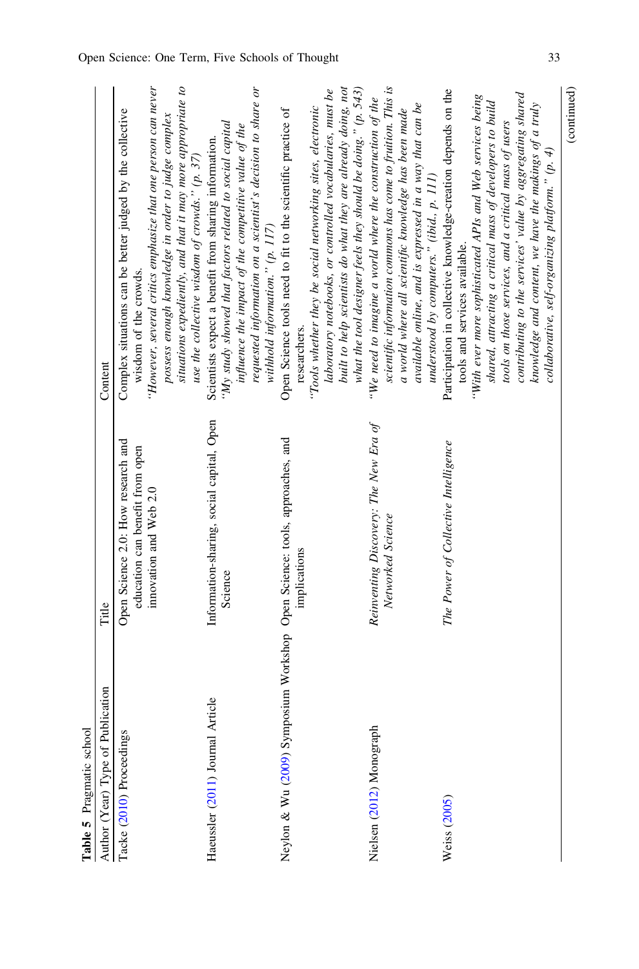Table 5 Pragmatic school Table 5 Pragmatic school

<span id="page-16-0"></span>

| Author (Year) Type of Publication                                          | Title                                                                 | Content                                                                                                                                                                                                                                                                                                                                                                                                                                                                                                  |
|----------------------------------------------------------------------------|-----------------------------------------------------------------------|----------------------------------------------------------------------------------------------------------------------------------------------------------------------------------------------------------------------------------------------------------------------------------------------------------------------------------------------------------------------------------------------------------------------------------------------------------------------------------------------------------|
| Tacke (2010) Proceedings                                                   | Open Science 2.0: How research and<br>education can benefit from open | Complex situations can be better judged by the collective<br>wisdom of the crowds.                                                                                                                                                                                                                                                                                                                                                                                                                       |
|                                                                            | innovation and Web 2.0                                                | "However, several critics emphasize that one person can never<br>situations expediently, and that it may more appropriate to<br>possess enough knowledge in order to judge complex<br>use the collective wisdom of crowds." $(p. 37)$                                                                                                                                                                                                                                                                    |
| Haeussler (2011) Journal Article                                           | Information-sharing, social capital, Open<br>Science                  | requested information on a scientist's decision to share or<br>"My study showed that factors related to social capital<br>influence the impact of the competitive value of the<br>Scientists expect a benefit from sharing information.<br>withhold information." $(p. 117)$                                                                                                                                                                                                                             |
| Neylon & Wu (2009) Symposium Workshop Open Science: tools, approaches, and | implications                                                          | built to help scientists do what they are already doing, not<br>laboratory notebooks, or controlled vocabularies, must be<br>"Tools whether they be social networking sites, electronic<br>Open Science tools need to fit to the scientific practice of<br>researchers.                                                                                                                                                                                                                                  |
| Nielsen (2012) Monograph                                                   | Reinventing Discovery: The New Era of<br>Networked Science            | what the tool designer feels they should be doing." $(p. 543)$<br>scientific information commons has come to fruition. This is<br>"We need to imagine a world where the construction of the<br>available online, and is expressed in a way that can be<br>a world where all scientific knowledge has been made                                                                                                                                                                                           |
| Weiss (2005)                                                               | The Power of Collective Intelligence                                  | Participation in collective knowledge-creation depends on the<br>contributing to the services' value by aggregating shared<br>"With ever more sophisticated APIs and Web services being<br>shared, attracting a critical mass of developers to build<br>knowledge and content, we have the makings of a truly<br>tools on those services, and a critical mass of users<br>collaborative, self-organizing platform." (p. 4)<br>understood by computers." (ibid., p. 111)<br>tools and services available. |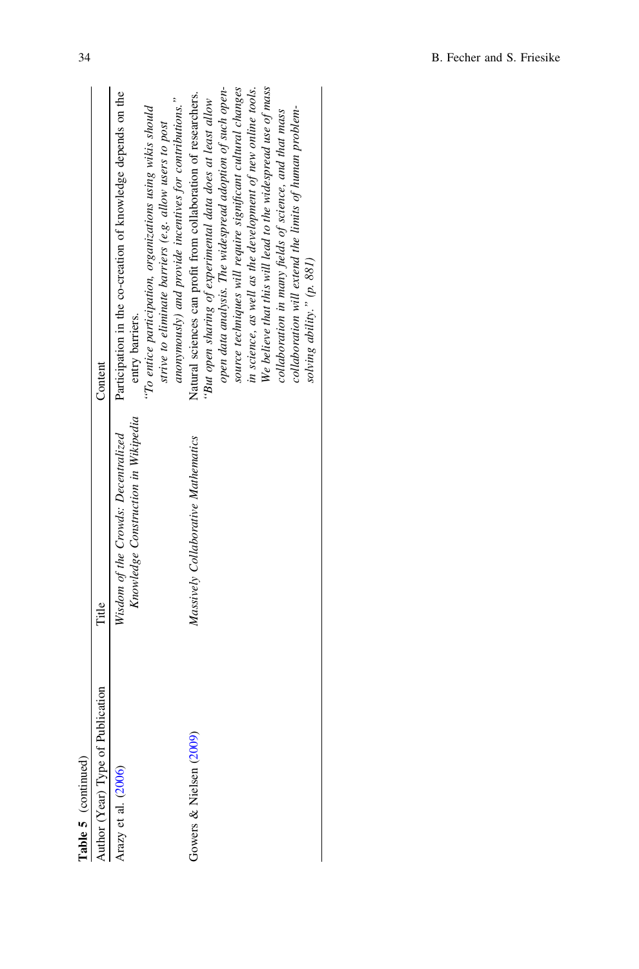| Table 5 (continued)                    |                                                                            |                                                                                                                                                                                                                                                                                                                                                                                                                                                                                                                                           |
|----------------------------------------|----------------------------------------------------------------------------|-------------------------------------------------------------------------------------------------------------------------------------------------------------------------------------------------------------------------------------------------------------------------------------------------------------------------------------------------------------------------------------------------------------------------------------------------------------------------------------------------------------------------------------------|
| Publication<br>Author (Year) Type of I | Title                                                                      | Content                                                                                                                                                                                                                                                                                                                                                                                                                                                                                                                                   |
| Arazy et al. (2006)                    | Knowledge Construction in Wikipedia<br>Wisdom of the Crowds: Decentralized | Participation in the co-creation of knowledge depends on the<br>anonymously) and provide incentives for contributions."<br>"To entice participation, organizations using wikis should<br>strive to eliminate barriers (e.g. allow users to post<br>entry barriers.                                                                                                                                                                                                                                                                        |
| Gowers & Nielsen (2009)                | Massively Collaborative Mathematics                                        | open data analysis. The widespread adoption of such open-<br>source techniques will require significant cultural changes<br>We believe that this will lead to the widespread use of mass<br>in science, as well as the development of new online tools.<br>Natural sciences can profit from collaboration of researchers.<br>"But open sharing of experimental data does at least allow<br>collaboration will extend the limits of human problem-<br>collaboration in many fields of science, and that mass<br>solving ability." (p. 881) |
|                                        |                                                                            |                                                                                                                                                                                                                                                                                                                                                                                                                                                                                                                                           |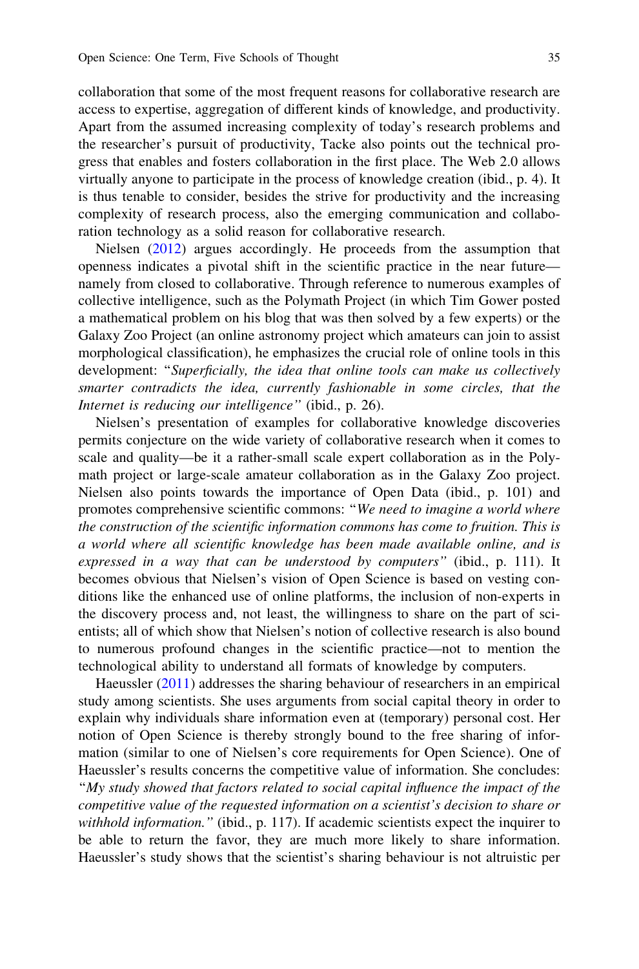collaboration that some of the most frequent reasons for collaborative research are access to expertise, aggregation of different kinds of knowledge, and productivity. Apart from the assumed increasing complexity of today's research problems and the researcher's pursuit of productivity, Tacke also points out the technical progress that enables and fosters collaboration in the first place. The Web 2.0 allows virtually anyone to participate in the process of knowledge creation (ibid., p. 4). It is thus tenable to consider, besides the strive for productivity and the increasing complexity of research process, also the emerging communication and collaboration technology as a solid reason for collaborative research.

Nielsen ([2012\)](#page-29-0) argues accordingly. He proceeds from the assumption that openness indicates a pivotal shift in the scientific practice in the near future namely from closed to collaborative. Through reference to numerous examples of collective intelligence, such as the Polymath Project (in which Tim Gower posted a mathematical problem on his blog that was then solved by a few experts) or the Galaxy Zoo Project (an online astronomy project which amateurs can join to assist morphological classification), he emphasizes the crucial role of online tools in this development: "Superficially, the idea that online tools can make us collectively smarter contradicts the idea, currently fashionable in some circles, that the Internet is reducing our intelligence" (ibid., p. 26).

Nielsen's presentation of examples for collaborative knowledge discoveries permits conjecture on the wide variety of collaborative research when it comes to scale and quality—be it a rather-small scale expert collaboration as in the Polymath project or large-scale amateur collaboration as in the Galaxy Zoo project. Nielsen also points towards the importance of Open Data (ibid., p. 101) and promotes comprehensive scientific commons: ''We need to imagine a world where the construction of the scientific information commons has come to fruition. This is a world where all scientific knowledge has been made available online, and is expressed in a way that can be understood by computers'' (ibid., p. 111). It becomes obvious that Nielsen's vision of Open Science is based on vesting conditions like the enhanced use of online platforms, the inclusion of non-experts in the discovery process and, not least, the willingness to share on the part of scientists; all of which show that Nielsen's notion of collective research is also bound to numerous profound changes in the scientific practice—not to mention the technological ability to understand all formats of knowledge by computers.

Haeussler [\(2011](#page-28-0)) addresses the sharing behaviour of researchers in an empirical study among scientists. She uses arguments from social capital theory in order to explain why individuals share information even at (temporary) personal cost. Her notion of Open Science is thereby strongly bound to the free sharing of information (similar to one of Nielsen's core requirements for Open Science). One of Haeussler's results concerns the competitive value of information. She concludes: ''My study showed that factors related to social capital influence the impact of the competitive value of the requested information on a scientist's decision to share or withhold information." (ibid., p. 117). If academic scientists expect the inquirer to be able to return the favor, they are much more likely to share information. Haeussler's study shows that the scientist's sharing behaviour is not altruistic per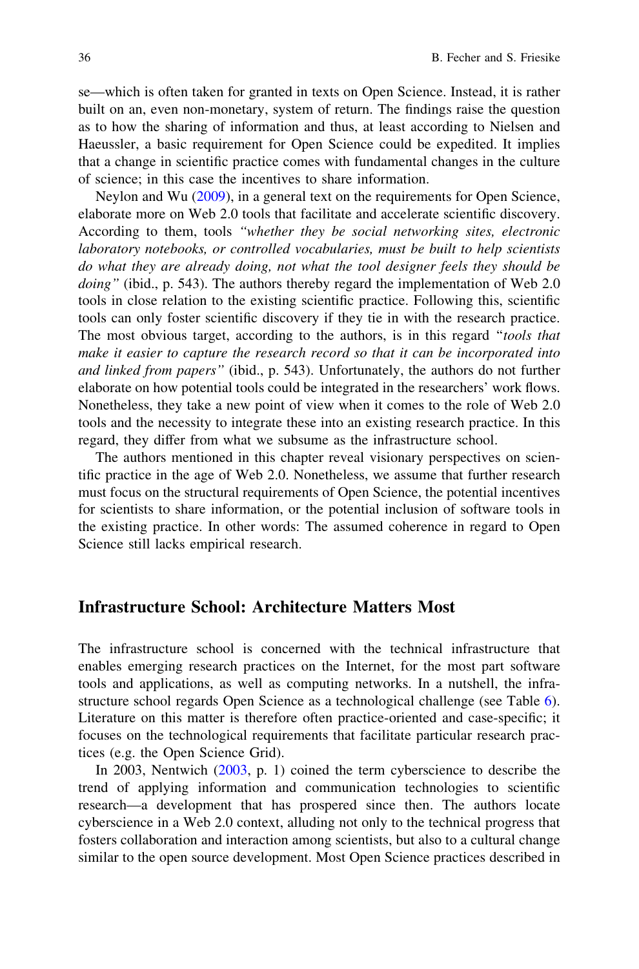se—which is often taken for granted in texts on Open Science. Instead, it is rather built on an, even non-monetary, system of return. The findings raise the question as to how the sharing of information and thus, at least according to Nielsen and Haeussler, a basic requirement for Open Science could be expedited. It implies that a change in scientific practice comes with fundamental changes in the culture of science; in this case the incentives to share information.

Neylon and Wu [\(2009](#page-29-0)), in a general text on the requirements for Open Science, elaborate more on Web 2.0 tools that facilitate and accelerate scientific discovery. According to them, tools ''whether they be social networking sites, electronic laboratory notebooks, or controlled vocabularies, must be built to help scientists do what they are already doing, not what the tool designer feels they should be doing" (ibid., p. 543). The authors thereby regard the implementation of Web 2.0 tools in close relation to the existing scientific practice. Following this, scientific tools can only foster scientific discovery if they tie in with the research practice. The most obvious target, according to the authors, is in this regard "tools that make it easier to capture the research record so that it can be incorporated into and linked from papers'' (ibid., p. 543). Unfortunately, the authors do not further elaborate on how potential tools could be integrated in the researchers' work flows. Nonetheless, they take a new point of view when it comes to the role of Web 2.0 tools and the necessity to integrate these into an existing research practice. In this regard, they differ from what we subsume as the infrastructure school.

The authors mentioned in this chapter reveal visionary perspectives on scientific practice in the age of Web 2.0. Nonetheless, we assume that further research must focus on the structural requirements of Open Science, the potential incentives for scientists to share information, or the potential inclusion of software tools in the existing practice. In other words: The assumed coherence in regard to Open Science still lacks empirical research.

#### Infrastructure School: Architecture Matters Most

The infrastructure school is concerned with the technical infrastructure that enables emerging research practices on the Internet, for the most part software tools and applications, as well as computing networks. In a nutshell, the infrastructure school regards Open Science as a technological challenge (see Table [6\)](#page-20-0). Literature on this matter is therefore often practice-oriented and case-specific; it focuses on the technological requirements that facilitate particular research practices (e.g. the Open Science Grid).

In 2003, Nentwich [\(2003](#page-29-0), p. 1) coined the term cyberscience to describe the trend of applying information and communication technologies to scientific research—a development that has prospered since then. The authors locate cyberscience in a Web 2.0 context, alluding not only to the technical progress that fosters collaboration and interaction among scientists, but also to a cultural change similar to the open source development. Most Open Science practices described in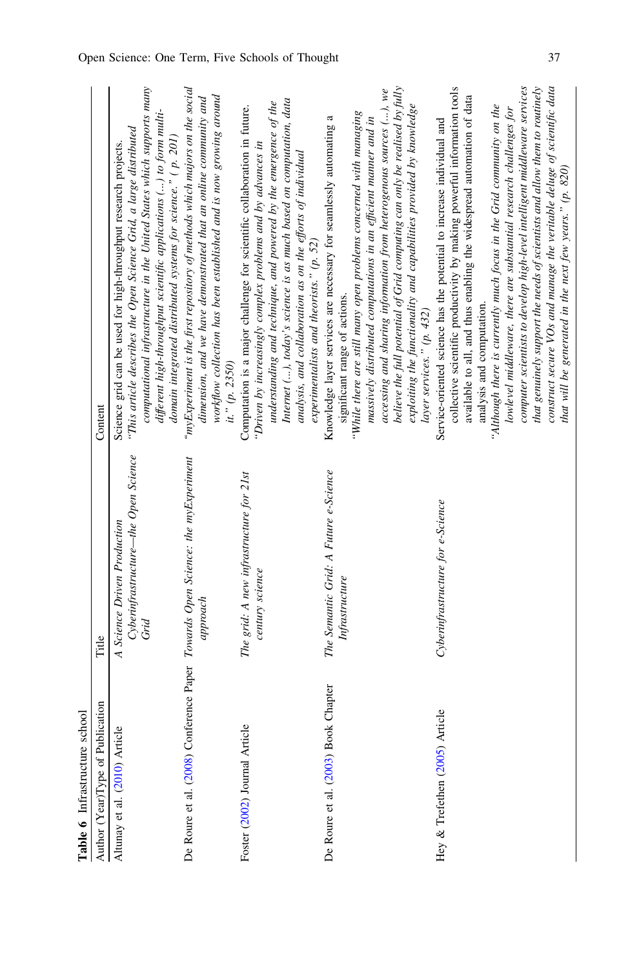<span id="page-20-0"></span>

| hool<br>Table 6 Infrastructure sc   |                                                                                            |                                                                                                                                                                                                                                                                                                                                                                                                                                                                                                                                                                                                                                                                                                         |
|-------------------------------------|--------------------------------------------------------------------------------------------|---------------------------------------------------------------------------------------------------------------------------------------------------------------------------------------------------------------------------------------------------------------------------------------------------------------------------------------------------------------------------------------------------------------------------------------------------------------------------------------------------------------------------------------------------------------------------------------------------------------------------------------------------------------------------------------------------------|
| Author (Year)Type of Publication    | Title                                                                                      | Content                                                                                                                                                                                                                                                                                                                                                                                                                                                                                                                                                                                                                                                                                                 |
| Altunay et al. (2010) Article       | Cyberinfrastructure—the Open Science<br>A Science Driven Production<br>Grid                | computational infrastructure in the United States which supports many<br>different high-throughput scientific applications () to form multi-<br>"This article describes the Open Science Grid, a large distributed<br>domain integrated distributed systems for science." (p. 201)<br>Science grid can be used for high-throughput research projects.                                                                                                                                                                                                                                                                                                                                                   |
|                                     | De Roure et al. (2008) Conference Paper Towards Open Science: the myExperiment<br>approach | 'myExperiment is the first repository of methods which majors on the social<br>workflow collection has been established and is now growing around<br>dimension, and we have demonstrated that an online community and<br>it." (p. 2350)                                                                                                                                                                                                                                                                                                                                                                                                                                                                 |
| Foster (2002) Journal Article       | The grid: A new infrastructure for 21st<br>century science                                 | Internet (), today's science is as much based on computation, data<br>understanding and technique, and powered by the emergence of the<br>Computation is a major challenge for scientific collaboration in future.<br>"Driven by increasingly complex problems and by advances in<br>analysis, and collaboration as on the efforts of individual<br>experimentalists and theorists." $(p. 52)$                                                                                                                                                                                                                                                                                                          |
| De Roure et al. (2003) Book Chapter | The Semantic Grid: A Future e-Science<br>Infrastructure                                    | believe the full potential of Grid computing can only be realised by fully<br>accessing and sharing information from heterogenous sources (), we<br>exploiting the functionality and capabilities provided by knowledge<br>"While there are still many open problems concerned with managing<br>Knowledge layer services are necessary for seamlessly automating a<br>massively distributed computations in an efficient manner and in<br>significant range of actions.<br>layer services." (p. 432)                                                                                                                                                                                                    |
| Hey & Trefethen (2005) Article      | Cyberinfrastructure for e-Science                                                          | collective scientific productivity by making powerful information tools<br>computer scientists to develop high-level intelligent middleware services<br>that genuinely support the needs of scientists and allow them to routinely<br>construct secure VOs and manage the veritable deluge of scientific data<br>available to all, and thus enabling the widespread automation of data<br>"Although there is currently much focus in the Grid community on the<br>lowlevel middleware, there are substantial research challenges for<br>Service-oriented science has the potential to increase individual and<br>that will be generated in the next few years." $(p. 820)$<br>analysis and computation. |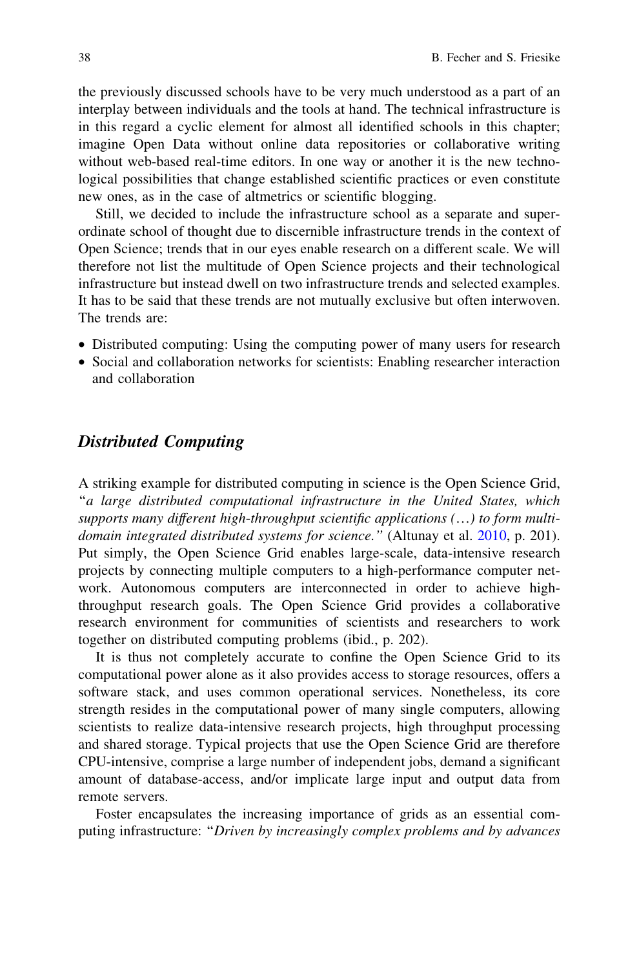the previously discussed schools have to be very much understood as a part of an interplay between individuals and the tools at hand. The technical infrastructure is in this regard a cyclic element for almost all identified schools in this chapter; imagine Open Data without online data repositories or collaborative writing without web-based real-time editors. In one way or another it is the new technological possibilities that change established scientific practices or even constitute new ones, as in the case of altmetrics or scientific blogging.

Still, we decided to include the infrastructure school as a separate and superordinate school of thought due to discernible infrastructure trends in the context of Open Science; trends that in our eyes enable research on a different scale. We will therefore not list the multitude of Open Science projects and their technological infrastructure but instead dwell on two infrastructure trends and selected examples. It has to be said that these trends are not mutually exclusive but often interwoven. The trends are:

- Distributed computing: Using the computing power of many users for research
- Social and collaboration networks for scientists: Enabling researcher interaction and collaboration

### Distributed Computing

A striking example for distributed computing in science is the Open Science Grid, ''a large distributed computational infrastructure in the United States, which supports many different high-throughput scientific applications (…) to form multi-domain integrated distributed systems for science." (Altunay et al. [2010,](#page-28-0) p. 201). Put simply, the Open Science Grid enables large-scale, data-intensive research projects by connecting multiple computers to a high-performance computer network. Autonomous computers are interconnected in order to achieve highthroughput research goals. The Open Science Grid provides a collaborative research environment for communities of scientists and researchers to work together on distributed computing problems (ibid., p. 202).

It is thus not completely accurate to confine the Open Science Grid to its computational power alone as it also provides access to storage resources, offers a software stack, and uses common operational services. Nonetheless, its core strength resides in the computational power of many single computers, allowing scientists to realize data-intensive research projects, high throughput processing and shared storage. Typical projects that use the Open Science Grid are therefore CPU-intensive, comprise a large number of independent jobs, demand a significant amount of database-access, and/or implicate large input and output data from remote servers.

Foster encapsulates the increasing importance of grids as an essential computing infrastructure: ''Driven by increasingly complex problems and by advances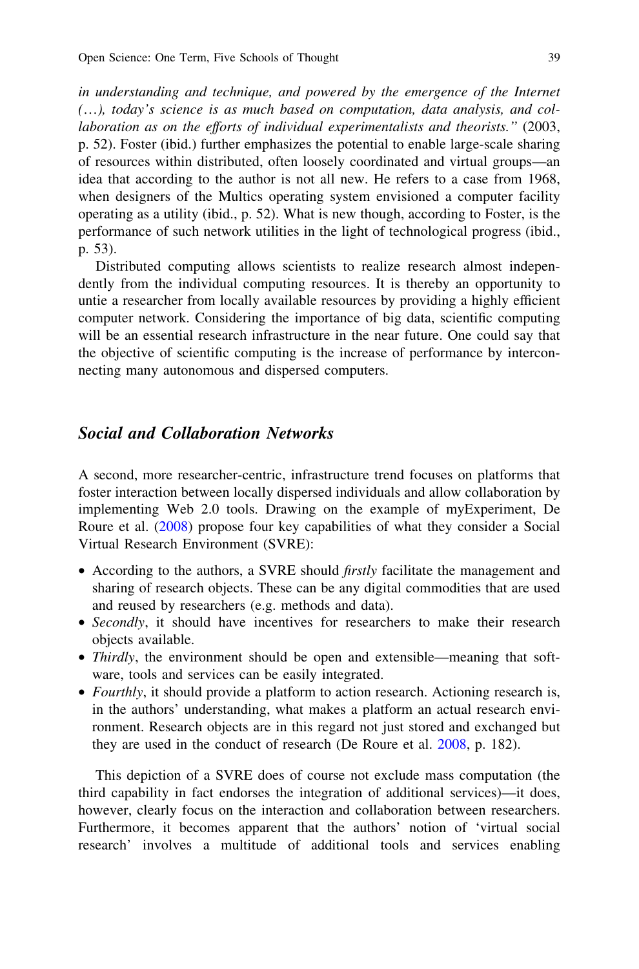in understanding and technique, and powered by the emergence of the Internet (…), today's science is as much based on computation, data analysis, and collaboration as on the efforts of individual experimentalists and theorists.'' (2003, p. 52). Foster (ibid.) further emphasizes the potential to enable large-scale sharing of resources within distributed, often loosely coordinated and virtual groups—an idea that according to the author is not all new. He refers to a case from 1968, when designers of the Multics operating system envisioned a computer facility operating as a utility (ibid., p. 52). What is new though, according to Foster, is the performance of such network utilities in the light of technological progress (ibid., p. 53).

Distributed computing allows scientists to realize research almost independently from the individual computing resources. It is thereby an opportunity to untie a researcher from locally available resources by providing a highly efficient computer network. Considering the importance of big data, scientific computing will be an essential research infrastructure in the near future. One could say that the objective of scientific computing is the increase of performance by interconnecting many autonomous and dispersed computers.

#### Social and Collaboration Networks

A second, more researcher-centric, infrastructure trend focuses on platforms that foster interaction between locally dispersed individuals and allow collaboration by implementing Web 2.0 tools. Drawing on the example of myExperiment, De Roure et al. [\(2008](#page-28-0)) propose four key capabilities of what they consider a Social Virtual Research Environment (SVRE):

- According to the authors, a SVRE should *firstly* facilitate the management and sharing of research objects. These can be any digital commodities that are used and reused by researchers (e.g. methods and data).
- Secondly, it should have incentives for researchers to make their research objects available.
- *Thirdly*, the environment should be open and extensible—meaning that software, tools and services can be easily integrated.
- Fourthly, it should provide a platform to action research. Actioning research is, in the authors' understanding, what makes a platform an actual research environment. Research objects are in this regard not just stored and exchanged but they are used in the conduct of research (De Roure et al. [2008,](#page-28-0) p. 182).

This depiction of a SVRE does of course not exclude mass computation (the third capability in fact endorses the integration of additional services)—it does, however, clearly focus on the interaction and collaboration between researchers. Furthermore, it becomes apparent that the authors' notion of 'virtual social research' involves a multitude of additional tools and services enabling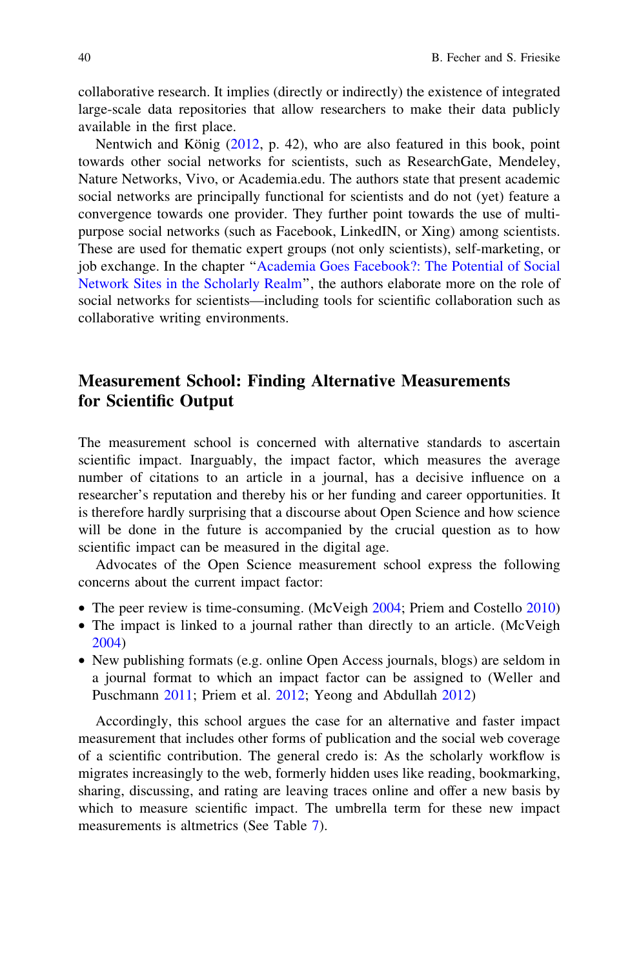collaborative research. It implies (directly or indirectly) the existence of integrated large-scale data repositories that allow researchers to make their data publicly available in the first place.

Nentwich and König ([2012,](#page-29-0) p. 42), who are also featured in this book, point towards other social networks for scientists, such as ResearchGate, Mendeley, Nature Networks, Vivo, or Academia.edu. The authors state that present academic social networks are principally functional for scientists and do not (yet) feature a convergence towards one provider. They further point towards the use of multipurpose social networks (such as Facebook, LinkedIN, or Xing) among scientists. These are used for thematic expert groups (not only scientists), self-marketing, or job exchange. In the chapter ''[Academia Goes Facebook?: The Potential of Social](http://dx.doi.org/10.1007/978-3-319-00026-8_7) [Network Sites in the Scholarly Realm](http://dx.doi.org/10.1007/978-3-319-00026-8_7)'', the authors elaborate more on the role of social networks for scientists—including tools for scientific collaboration such as collaborative writing environments.

### Measurement School: Finding Alternative Measurements for Scientific Output

The measurement school is concerned with alternative standards to ascertain scientific impact. Inarguably, the impact factor, which measures the average number of citations to an article in a journal, has a decisive influence on a researcher's reputation and thereby his or her funding and career opportunities. It is therefore hardly surprising that a discourse about Open Science and how science will be done in the future is accompanied by the crucial question as to how scientific impact can be measured in the digital age.

Advocates of the Open Science measurement school express the following concerns about the current impact factor:

- The peer review is time-consuming. (McVeigh [2004](#page-29-0); Priem and Costello [2010](#page-29-0))
- The impact is linked to a journal rather than directly to an article. (McVeigh [2004](#page-29-0))
- New publishing formats (e.g. online Open Access journals, blogs) are seldom in a journal format to which an impact factor can be assigned to (Weller and Puschmann [2011;](#page-30-0) Priem et al. [2012;](#page-29-0) Yeong and Abdullah [2012](#page-30-0))

Accordingly, this school argues the case for an alternative and faster impact measurement that includes other forms of publication and the social web coverage of a scientific contribution. The general credo is: As the scholarly workflow is migrates increasingly to the web, formerly hidden uses like reading, bookmarking, sharing, discussing, and rating are leaving traces online and offer a new basis by which to measure scientific impact. The umbrella term for these new impact measurements is altmetrics (See Table [7\)](#page-24-0).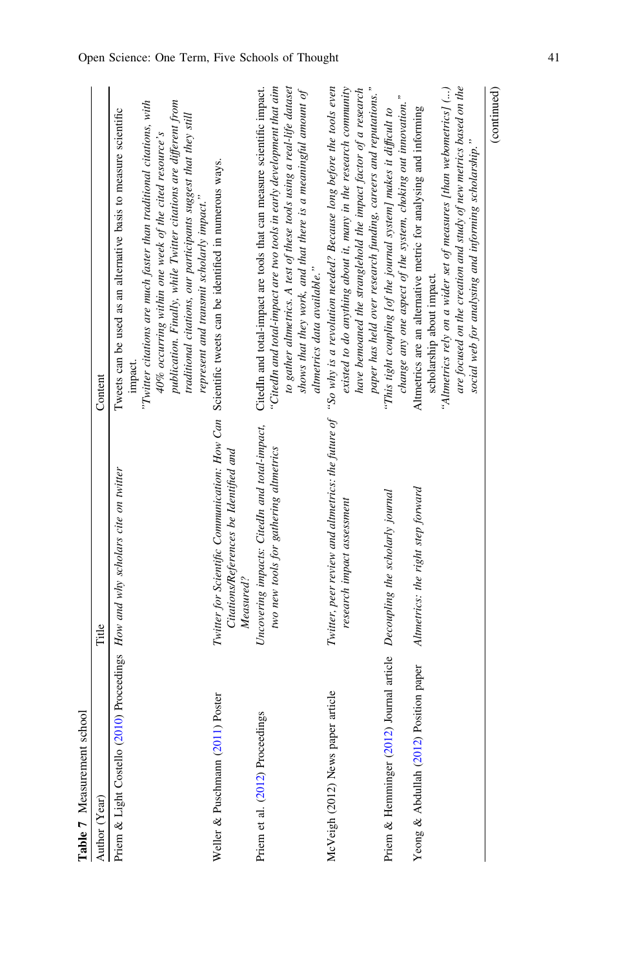<span id="page-24-0"></span>

| Table 7 Measurement school                                                     |                                                                                         |                                                                                                                                                                                                                                                                                                                                                                                                 |
|--------------------------------------------------------------------------------|-----------------------------------------------------------------------------------------|-------------------------------------------------------------------------------------------------------------------------------------------------------------------------------------------------------------------------------------------------------------------------------------------------------------------------------------------------------------------------------------------------|
| Author (Year)                                                                  | Title                                                                                   | Content                                                                                                                                                                                                                                                                                                                                                                                         |
| Priem & Light Costello (2010) Proceedings How and why scholars cite on twitter |                                                                                         | "Twitter citations are much faster than traditional citations, with<br>publication. Finally, while Twitter citations are different from<br>Tweets can be used as an alternative basis to measure scientific<br>traditional citations, our participants suggest that they still<br>40% occurring within one week of the cited resource's<br>represent and transmit scholarly impact."<br>impact. |
| 1) Poster<br>Weller & Puschmann (201                                           | Citations/References be Identified and<br>Measured?                                     | Twitter for Scientific Communication: How Can Scientific tweets can be identified in numerous ways.                                                                                                                                                                                                                                                                                             |
| Priem et al. (2012) Proceedings                                                | Uncovering impacts: CitedIn and total-impact,<br>two new tools for gathering altmetrics | "CitedIn and total-impact are two tools in early development that aim<br>to gather altmetrics. A test of these tools using a real-life dataset<br>CitedIn and total-impact are tools that can measure scientific impact.<br>shows that they work, and that there is a meaningful amount of<br>altmetrics data available."                                                                       |
| McVeigh (2012) News paper article                                              | research impact assessment                                                              | Twitter, peer review and altmetrics: the future of "So why is a revolution needed? Because long before the tools even<br>existed to do anything about it, many in the research community<br>have bemoaned the stranglehold the impact factor of a research<br>paper has held over research funding, careers and reputations."                                                                   |
| Priem & Hemminger (2012) Journal article Decoupling the scholarly journal      |                                                                                         | change any one aspect of the system, choking out innovation."<br>"This tight coupling [of the journal system] makes it difficult to                                                                                                                                                                                                                                                             |
| Position paper<br>Yeong & Abdullah (2012)                                      | Altmetrics: the right step forward                                                      | are focused on the creation and study of new metrics based on the<br>"Altmetrics rely on a wider set of measures [than webometrics] ()<br>Altmetrics are an alternative metric for analysing and informing<br>social web for analysing and informing scholarship."<br>scholarship about impact.                                                                                                 |
|                                                                                |                                                                                         | (continued)                                                                                                                                                                                                                                                                                                                                                                                     |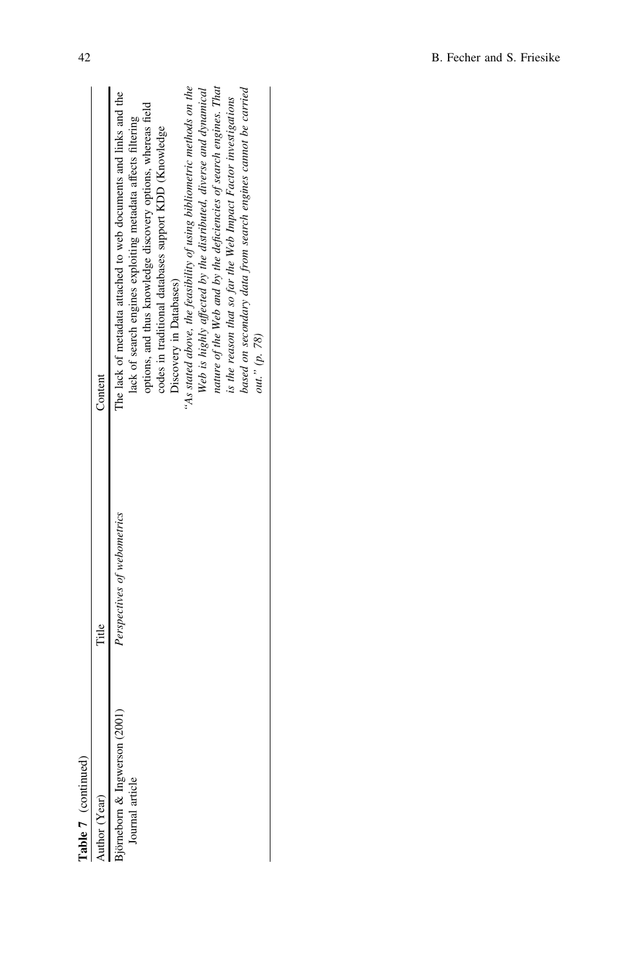| Table 7 (continued)                                 |                             |                                                                                                                                                                                                                                                                                                                                                                                                                                                                                                                                                                                                                                                             |
|-----------------------------------------------------|-----------------------------|-------------------------------------------------------------------------------------------------------------------------------------------------------------------------------------------------------------------------------------------------------------------------------------------------------------------------------------------------------------------------------------------------------------------------------------------------------------------------------------------------------------------------------------------------------------------------------------------------------------------------------------------------------------|
| uthor (Year)                                        | Title                       | Content                                                                                                                                                                                                                                                                                                                                                                                                                                                                                                                                                                                                                                                     |
| (2001)<br>ijörneborn & Ingwerson<br>Journal article | Perspectives of webometrics | "As stated above, the feasibility of using bibliometric methods on the<br>Web is highly affected by the distributed, diverse and dynamical<br>nature of the Web and by the deficiencies of search engines. That<br>based on secondary data from search engines cannot be carried<br>The lack of metadata attached to web documents and links and the<br>is the reason that so far the Web Impact Factor investigations<br>options, and thus knowledge discovery options, whereas field<br>lack of search engines exploiting metadata affects filtering<br>codes in traditional databases support KDD (Knowledge<br>Discovery in Databases)<br>out." (p. 78) |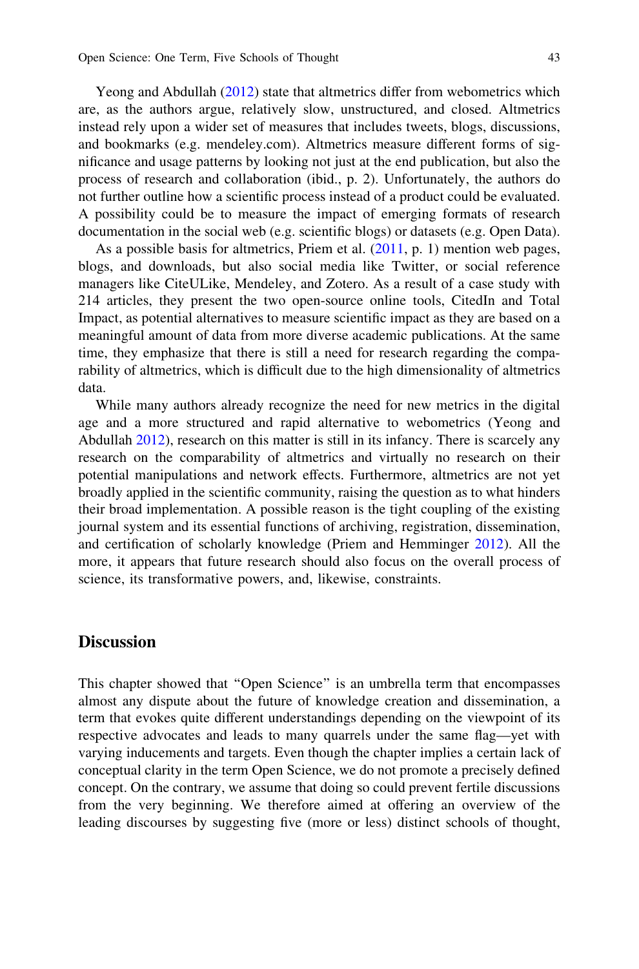Yeong and Abdullah ([2012\)](#page-30-0) state that altmetrics differ from webometrics which are, as the authors argue, relatively slow, unstructured, and closed. Altmetrics instead rely upon a wider set of measures that includes tweets, blogs, discussions, and bookmarks (e.g. mendeley.com). Altmetrics measure different forms of significance and usage patterns by looking not just at the end publication, but also the process of research and collaboration (ibid., p. 2). Unfortunately, the authors do not further outline how a scientific process instead of a product could be evaluated. A possibility could be to measure the impact of emerging formats of research documentation in the social web (e.g. scientific blogs) or datasets (e.g. Open Data).

As a possible basis for altmetrics, Priem et al. [\(2011](#page-29-0), p. 1) mention web pages, blogs, and downloads, but also social media like Twitter, or social reference managers like CiteULike, Mendeley, and Zotero. As a result of a case study with 214 articles, they present the two open-source online tools, CitedIn and Total Impact, as potential alternatives to measure scientific impact as they are based on a meaningful amount of data from more diverse academic publications. At the same time, they emphasize that there is still a need for research regarding the comparability of altmetrics, which is difficult due to the high dimensionality of altmetrics data.

While many authors already recognize the need for new metrics in the digital age and a more structured and rapid alternative to webometrics (Yeong and Abdullah [2012\)](#page-30-0), research on this matter is still in its infancy. There is scarcely any research on the comparability of altmetrics and virtually no research on their potential manipulations and network effects. Furthermore, altmetrics are not yet broadly applied in the scientific community, raising the question as to what hinders their broad implementation. A possible reason is the tight coupling of the existing journal system and its essential functions of archiving, registration, dissemination, and certification of scholarly knowledge (Priem and Hemminger [2012\)](#page-29-0). All the more, it appears that future research should also focus on the overall process of science, its transformative powers, and, likewise, constraints.

#### **Discussion**

This chapter showed that ''Open Science'' is an umbrella term that encompasses almost any dispute about the future of knowledge creation and dissemination, a term that evokes quite different understandings depending on the viewpoint of its respective advocates and leads to many quarrels under the same flag—yet with varying inducements and targets. Even though the chapter implies a certain lack of conceptual clarity in the term Open Science, we do not promote a precisely defined concept. On the contrary, we assume that doing so could prevent fertile discussions from the very beginning. We therefore aimed at offering an overview of the leading discourses by suggesting five (more or less) distinct schools of thought,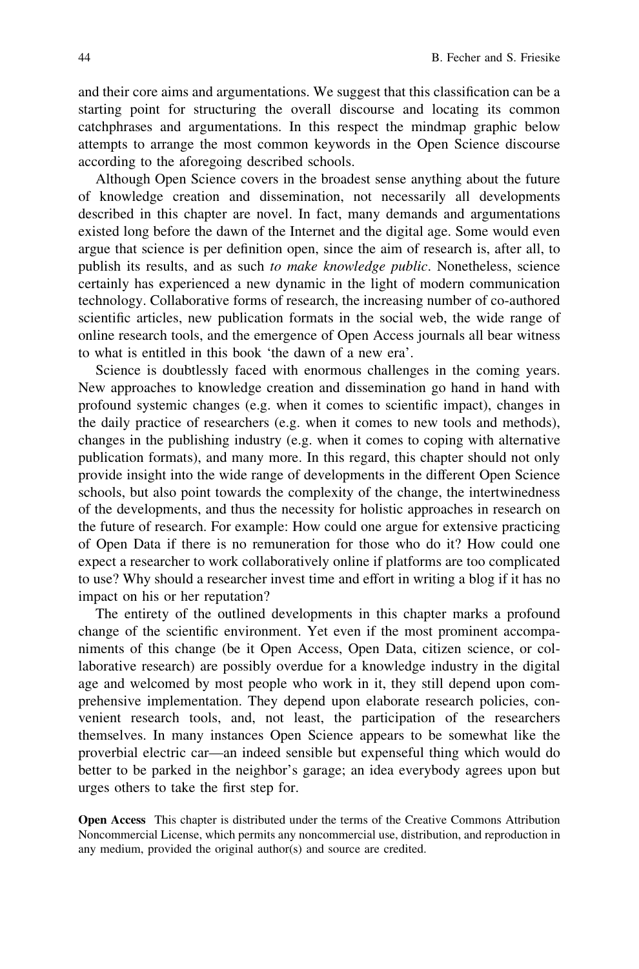and their core aims and argumentations. We suggest that this classification can be a starting point for structuring the overall discourse and locating its common catchphrases and argumentations. In this respect the mindmap graphic below attempts to arrange the most common keywords in the Open Science discourse according to the aforegoing described schools.

Although Open Science covers in the broadest sense anything about the future of knowledge creation and dissemination, not necessarily all developments described in this chapter are novel. In fact, many demands and argumentations existed long before the dawn of the Internet and the digital age. Some would even argue that science is per definition open, since the aim of research is, after all, to publish its results, and as such to make knowledge public. Nonetheless, science certainly has experienced a new dynamic in the light of modern communication technology. Collaborative forms of research, the increasing number of co-authored scientific articles, new publication formats in the social web, the wide range of online research tools, and the emergence of Open Access journals all bear witness to what is entitled in this book 'the dawn of a new era'.

Science is doubtlessly faced with enormous challenges in the coming years. New approaches to knowledge creation and dissemination go hand in hand with profound systemic changes (e.g. when it comes to scientific impact), changes in the daily practice of researchers (e.g. when it comes to new tools and methods), changes in the publishing industry (e.g. when it comes to coping with alternative publication formats), and many more. In this regard, this chapter should not only provide insight into the wide range of developments in the different Open Science schools, but also point towards the complexity of the change, the intertwinedness of the developments, and thus the necessity for holistic approaches in research on the future of research. For example: How could one argue for extensive practicing of Open Data if there is no remuneration for those who do it? How could one expect a researcher to work collaboratively online if platforms are too complicated to use? Why should a researcher invest time and effort in writing a blog if it has no impact on his or her reputation?

The entirety of the outlined developments in this chapter marks a profound change of the scientific environment. Yet even if the most prominent accompaniments of this change (be it Open Access, Open Data, citizen science, or collaborative research) are possibly overdue for a knowledge industry in the digital age and welcomed by most people who work in it, they still depend upon comprehensive implementation. They depend upon elaborate research policies, convenient research tools, and, not least, the participation of the researchers themselves. In many instances Open Science appears to be somewhat like the proverbial electric car—an indeed sensible but expenseful thing which would do better to be parked in the neighbor's garage; an idea everybody agrees upon but urges others to take the first step for.

Open Access This chapter is distributed under the terms of the Creative Commons Attribution Noncommercial License, which permits any noncommercial use, distribution, and reproduction in any medium, provided the original author(s) and source are credited.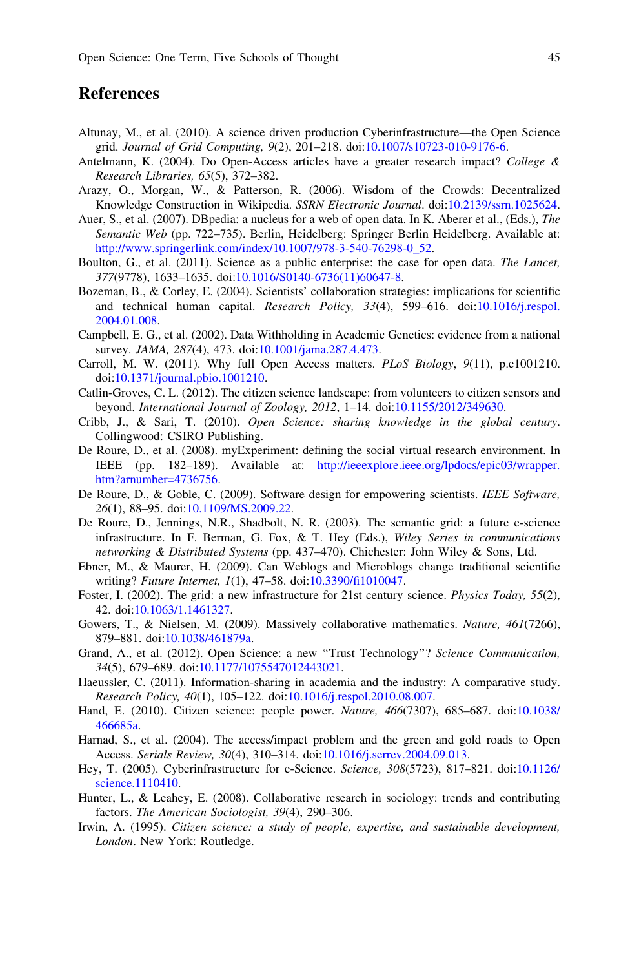#### <span id="page-28-0"></span>References

- Altunay, M., et al. (2010). A science driven production Cyberinfrastructure—the Open Science grid. Journal of Grid Computing, 9(2), 201–218. doi[:10.1007/s10723-010-9176-6.](http://dx.doi.org/10.1007/s10723-010-9176-6)
- Antelmann, K. (2004). Do Open-Access articles have a greater research impact? College & Research Libraries, 65(5), 372–382.
- Arazy, O., Morgan, W., & Patterson, R. (2006). Wisdom of the Crowds: Decentralized Knowledge Construction in Wikipedia. SSRN Electronic Journal. doi[:10.2139/ssrn.1025624](http://dx.doi.org/10.2139/ssrn.1025624).
- Auer, S., et al. (2007). DBpedia: a nucleus for a web of open data. In K. Aberer et al., (Eds.), The Semantic Web (pp. 722–735). Berlin, Heidelberg: Springer Berlin Heidelberg. Available at: [http://www.springerlink.com/index/10.1007/978-3-540-76298-0\\_52.](http://www.springerlink.com/index/10.1007/978-3-540-76298-0_52)
- Boulton, G., et al. (2011). Science as a public enterprise: the case for open data. The Lancet, 377(9778), 1633–1635. doi[:10.1016/S0140-6736\(11\)60647-8.](http://dx.doi.org/10.1016/S0140-6736(11)60647-8)
- Bozeman, B., & Corley, E. (2004). Scientists' collaboration strategies: implications for scientific and technical human capital. Research Policy, 33(4), 599–616. doi[:10.1016/j.respol.](http://dx.doi.org/10.1016/j.respol.2004.01.008) [2004.01.008](http://dx.doi.org/10.1016/j.respol.2004.01.008).
- Campbell, E. G., et al. (2002). Data Withholding in Academic Genetics: evidence from a national survey. JAMA, 287(4), 473. doi:[10.1001/jama.287.4.473](http://dx.doi.org/10.1001/jama.287.4.473).
- Carroll, M. W. (2011). Why full Open Access matters. PLoS Biology, 9(11), p.e1001210. doi:[10.1371/journal.pbio.1001210.](http://dx.doi.org/10.1371/journal.pbio.1001210)
- Catlin-Groves, C. L. (2012). The citizen science landscape: from volunteers to citizen sensors and beyond. International Journal of Zoology, 2012, 1-14. doi:[10.1155/2012/349630](http://dx.doi.org/10.1155/2012/349630).
- Cribb, J., & Sari, T. (2010). Open Science: sharing knowledge in the global century. Collingwood: CSIRO Publishing.
- De Roure, D., et al. (2008). myExperiment: defining the social virtual research environment. In IEEE (pp. 182–189). Available at: [http://ieeexplore.ieee.org/lpdocs/epic03/wrapper.](http://ieeexplore.ieee.org/lpdocs/epic03/wrapper.htm?arnumber=4736756) [htm?arnumber=4736756.](http://ieeexplore.ieee.org/lpdocs/epic03/wrapper.htm?arnumber=4736756)
- De Roure, D., & Goble, C. (2009). Software design for empowering scientists. IEEE Software, 26(1), 88–95. doi[:10.1109/MS.2009.22](http://dx.doi.org/10.1109/MS.2009.22).
- De Roure, D., Jennings, N.R., Shadbolt, N. R. (2003). The semantic grid: a future e-science infrastructure. In F. Berman, G. Fox, & T. Hey (Eds.), Wiley Series in communications networking & Distributed Systems (pp. 437–470). Chichester: John Wiley & Sons, Ltd.
- Ebner, M., & Maurer, H. (2009). Can Weblogs and Microblogs change traditional scientific writing? Future Internet, 1(1), 47-58. doi[:10.3390/fi1010047](http://dx.doi.org/10.3390/fi1010047).
- Foster, I. (2002). The grid: a new infrastructure for 21st century science. Physics Today, 55(2), 42. doi[:10.1063/1.1461327](http://dx.doi.org/10.1063/1.1461327).
- Gowers, T., & Nielsen, M. (2009). Massively collaborative mathematics. Nature, 461(7266), 879–881. doi:[10.1038/461879a.](http://dx.doi.org/10.1038/461879a)
- Grand, A., et al. (2012). Open Science: a new "Trust Technology"? Science Communication, 34(5), 679–689. doi:[10.1177/1075547012443021.](http://dx.doi.org/10.1177/1075547012443021)
- Haeussler, C. (2011). Information-sharing in academia and the industry: A comparative study. Research Policy, 40(1), 105–122. doi:[10.1016/j.respol.2010.08.007.](http://dx.doi.org/10.1016/j.respol.2010.08.007)
- Hand, E. (2010). Citizen science: people power. Nature, 466(7307), 685–687. doi:[10.1038/](http://dx.doi.org/10.1038/466685a) [466685a.](http://dx.doi.org/10.1038/466685a)
- Harnad, S., et al. (2004). The access/impact problem and the green and gold roads to Open Access. Serials Review, 30(4), 310–314. doi:[10.1016/j.serrev.2004.09.013](http://dx.doi.org/10.1016/j.serrev.2004.09.013).
- Hey, T. (2005). Cyberinfrastructure for e-Science. Science, 308(5723), 817–821. doi:[10.1126/](http://dx.doi.org/10.1126/science.1110410) [science.1110410.](http://dx.doi.org/10.1126/science.1110410)
- Hunter, L., & Leahey, E. (2008). Collaborative research in sociology: trends and contributing factors. The American Sociologist, 39(4), 290-306.
- Irwin, A. (1995). Citizen science: a study of people, expertise, and sustainable development, London. New York: Routledge.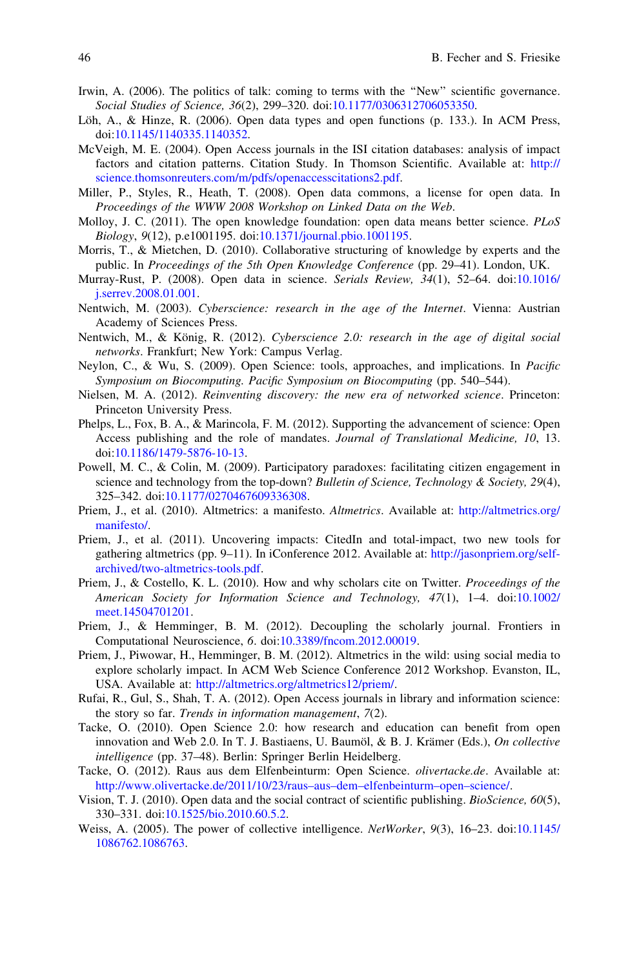- <span id="page-29-0"></span>Irwin, A. (2006). The politics of talk: coming to terms with the "New" scientific governance. Social Studies of Science, 36(2), 299–320. doi:[10.1177/0306312706053350](http://dx.doi.org/10.1177/0306312706053350).
- Löh, A., & Hinze, R. (2006). Open data types and open functions (p. 133.). In ACM Press, doi:[10.1145/1140335.1140352](http://dx.doi.org/10.1145/1140335.1140352).
- McVeigh, M. E. (2004). Open Access journals in the ISI citation databases: analysis of impact factors and citation patterns. Citation Study. In Thomson Scientific. Available at: [http://](http://science.thomsonreuters.com/m/pdfs/openaccesscitations2.pdf) [science.thomsonreuters.com/m/pdfs/openaccesscitations2.pdf](http://science.thomsonreuters.com/m/pdfs/openaccesscitations2.pdf).
- Miller, P., Styles, R., Heath, T. (2008). Open data commons, a license for open data. In Proceedings of the WWW 2008 Workshop on Linked Data on the Web.
- Molloy, J. C. (2011). The open knowledge foundation: open data means better science.  $PLoS$ Biology, 9(12), p.e1001195. doi[:10.1371/journal.pbio.1001195](http://dx.doi.org/10.1371/journal.pbio.1001195).
- Morris, T., & Mietchen, D. (2010). Collaborative structuring of knowledge by experts and the public. In Proceedings of the 5th Open Knowledge Conference (pp. 29–41). London, UK.
- Murray-Rust, P. (2008). Open data in science. Serials Review, 34(1), 52–64. doi:[10.1016/](http://dx.doi.org/10.1016/j.serrev.2008.01.001) [j.serrev.2008.01.001](http://dx.doi.org/10.1016/j.serrev.2008.01.001).
- Nentwich, M. (2003). Cyberscience: research in the age of the Internet. Vienna: Austrian Academy of Sciences Press.
- Nentwich, M., & König, R. (2012). Cyberscience 2.0: research in the age of digital social networks. Frankfurt; New York: Campus Verlag.
- Neylon, C., & Wu, S. (2009). Open Science: tools, approaches, and implications. In Pacific Symposium on Biocomputing. Pacific Symposium on Biocomputing (pp. 540–544).
- Nielsen, M. A. (2012). Reinventing discovery: the new era of networked science. Princeton: Princeton University Press.
- Phelps, L., Fox, B. A., & Marincola, F. M. (2012). Supporting the advancement of science: Open Access publishing and the role of mandates. Journal of Translational Medicine, 10, 13. doi:[10.1186/1479-5876-10-13](http://dx.doi.org/10.1186/1479-5876-10-13).
- Powell, M. C., & Colin, M. (2009). Participatory paradoxes: facilitating citizen engagement in science and technology from the top-down? Bulletin of Science, Technology & Society, 29(4), 325–342. doi:[10.1177/0270467609336308](http://dx.doi.org/10.1177/0270467609336308).
- Priem, J., et al. (2010). Altmetrics: a manifesto. Altmetrics. Available at: [http://altmetrics.org/](http://altmetrics.org/manifesto/) [manifesto/.](http://altmetrics.org/manifesto/)
- Priem, J., et al. (2011). Uncovering impacts: CitedIn and total-impact, two new tools for gathering altmetrics (pp. 9-11). In iConference 2012. Available at: [http://jasonpriem.org/self](http://jasonpriem.org/self-archived/two-altmetrics-tools.pdf)[archived/two-altmetrics-tools.pdf](http://jasonpriem.org/self-archived/two-altmetrics-tools.pdf).
- Priem, J., & Costello, K. L. (2010). How and why scholars cite on Twitter. Proceedings of the American Society for Information Science and Technology, 47(1), 1–4. doi:[10.1002/](http://dx.doi.org/10.1002/meet.14504701201) [meet.14504701201](http://dx.doi.org/10.1002/meet.14504701201).
- Priem, J., & Hemminger, B. M. (2012). Decoupling the scholarly journal. Frontiers in Computational Neuroscience, 6. doi:[10.3389/fncom.2012.00019.](http://dx.doi.org/10.3389/fncom.2012.00019)
- Priem, J., Piwowar, H., Hemminger, B. M. (2012). Altmetrics in the wild: using social media to explore scholarly impact. In ACM Web Science Conference 2012 Workshop. Evanston, IL, USA. Available at: <http://altmetrics.org/altmetrics12/priem/>.
- Rufai, R., Gul, S., Shah, T. A. (2012). Open Access journals in library and information science: the story so far. Trends in information management, 7(2).
- Tacke, O. (2010). Open Science 2.0: how research and education can benefit from open innovation and Web 2.0. In T. J. Bastiaens, U. Baumöl, & B. J. Krämer (Eds.), On collective intelligence (pp. 37–48). Berlin: Springer Berlin Heidelberg.
- Tacke, O. (2012). Raus aus dem Elfenbeinturm: Open Science. olivertacke.de. Available at: [http://www.olivertacke.de/2011/10/23/raus–aus–dem–elfenbeinturm–open–science/.](http://www.olivertacke.de/2011/10/23/raus--aus--dem--elfenbeinturm--open--science/)
- Vision, T. J. (2010). Open data and the social contract of scientific publishing. BioScience, 60(5), 330–331. doi:[10.1525/bio.2010.60.5.2.](http://dx.doi.org/10.1525/bio.2010.60.5.2)
- Weiss, A. (2005). The power of collective intelligence. NetWorker, 9(3), 16–23. doi:[10.1145/](http://dx.doi.org/10.1145/1086762.1086763) [1086762.1086763](http://dx.doi.org/10.1145/1086762.1086763).